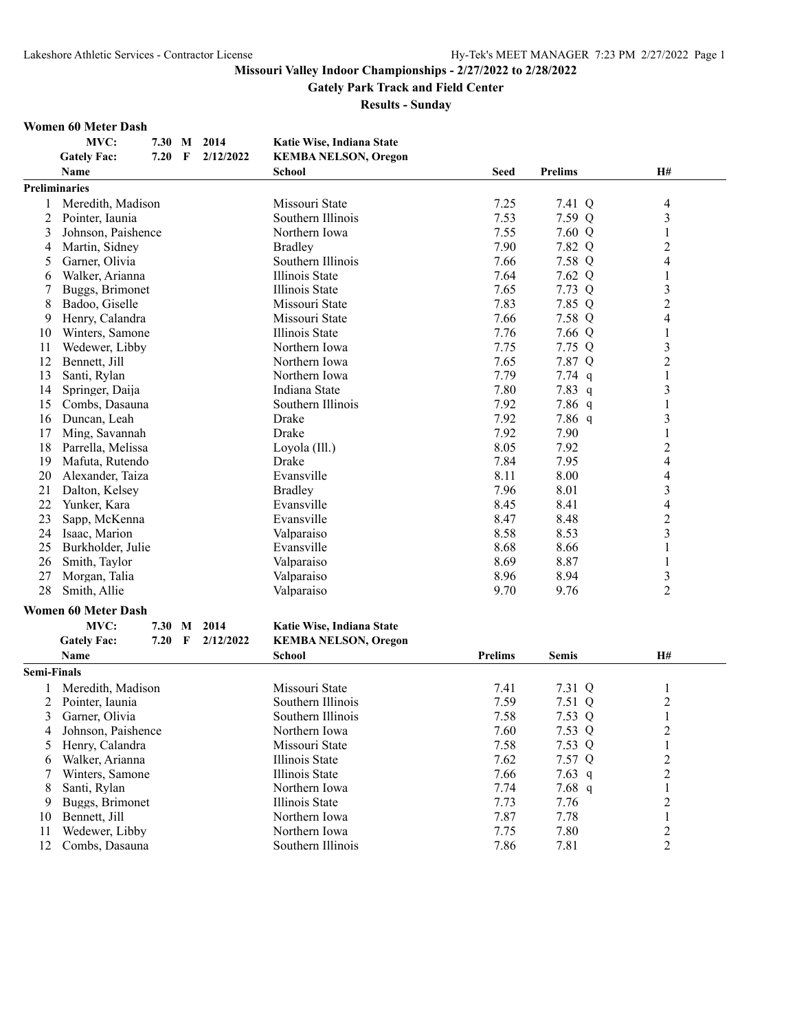**Gately Park Track and Field Center**

|                | <b>Women 60 Meter Dash</b>         |      |   |           |                             |                |                |                          |
|----------------|------------------------------------|------|---|-----------|-----------------------------|----------------|----------------|--------------------------|
|                | MVC:                               | 7.30 | M | 2014      | Katie Wise, Indiana State   |                |                |                          |
|                | <b>Gately Fac:</b>                 | 7.20 | F | 2/12/2022 | <b>KEMBA NELSON, Oregon</b> |                |                |                          |
|                | Name                               |      |   |           | <b>School</b>               | <b>Seed</b>    | <b>Prelims</b> | <b>H#</b>                |
|                | <b>Preliminaries</b>               |      |   |           |                             |                |                |                          |
|                | Meredith, Madison                  |      |   |           | Missouri State              | 7.25           | 7.41 Q         | 4                        |
| $\overline{c}$ | Pointer, Iaunia                    |      |   |           | Southern Illinois           | 7.53           | 7.59 Q         | 3                        |
| 3              | Johnson, Paishence                 |      |   |           | Northern Iowa               | 7.55           | 7.60 Q         | 1                        |
| 4              | Martin, Sidney                     |      |   |           | <b>Bradley</b>              | 7.90           | 7.82 Q         | $\overline{c}$           |
| 5              | Garner, Olivia                     |      |   |           | Southern Illinois           | 7.66           | 7.58 Q         | $\overline{\mathcal{L}}$ |
| 6              | Walker, Arianna                    |      |   |           | Illinois State              | 7.64           | 7.62 Q         | 1                        |
|                | Buggs, Brimonet                    |      |   |           | Illinois State              | 7.65           | 7.73 Q         | 3                        |
| 8              | Badoo, Giselle                     |      |   |           | Missouri State              | 7.83           | 7.85 Q         | $\overline{2}$           |
| 9              | Henry, Calandra                    |      |   |           | Missouri State              | 7.66           | 7.58 Q         | 4                        |
| 10             | Winters, Samone                    |      |   |           | Illinois State              | 7.76           | 7.66 Q         | 1                        |
| 11             | Wedewer, Libby                     |      |   |           | Northern Iowa               | 7.75           | 7.75 Q         | 3                        |
| 12             | Bennett, Jill                      |      |   |           | Northern Iowa               | 7.65           | 7.87 Q         | $\overline{c}$           |
| 13             | Santi, Rylan                       |      |   |           | Northern Iowa               | 7.79           | 7.74 $q$       | 1                        |
| 14             | Springer, Daija                    |      |   |           | Indiana State               | 7.80           | 7.83 $q$       | 3                        |
| 15             | Combs, Dasauna                     |      |   |           | Southern Illinois           | 7.92           | 7.86 $q$       | 1                        |
| 16             | Duncan, Leah                       |      |   |           | Drake                       | 7.92           | 7.86 q         | 3                        |
| 17             | Ming, Savannah                     |      |   |           | Drake                       | 7.92           | 7.90           | 1                        |
| 18             | Parrella, Melissa                  |      |   |           | Loyola (Ill.)               | 8.05           | 7.92           | 2                        |
| 19             | Mafuta, Rutendo                    |      |   |           | Drake                       | 7.84           | 7.95           | 4                        |
| 20             | Alexander, Taiza                   |      |   |           | Evansville                  | 8.11           | 8.00           | 4                        |
| 21             | Dalton, Kelsey                     |      |   |           | <b>Bradley</b>              | 7.96           | 8.01           | 3                        |
| 22             | Yunker, Kara                       |      |   |           | Evansville                  | 8.45           | 8.41           | 4                        |
| 23             | Sapp, McKenna                      |      |   |           | Evansville                  | 8.47           | 8.48           | $\overline{c}$           |
| 24             | Isaac, Marion                      |      |   |           | Valparaiso                  | 8.58           | 8.53           | 3                        |
| 25             | Burkholder, Julie                  |      |   |           | Evansville                  | 8.68           | 8.66           | 1                        |
| 26             | Smith, Taylor                      |      |   |           | Valparaiso                  | 8.69           | 8.87           | 1                        |
| 27             | Morgan, Talia                      |      |   |           | Valparaiso                  | 8.96           | 8.94           | 3                        |
| 28             | Smith, Allie                       |      |   |           | Valparaiso                  | 9.70           | 9.76           | 2                        |
|                |                                    |      |   |           |                             |                |                |                          |
|                | <b>Women 60 Meter Dash</b><br>MVC: |      |   |           |                             |                |                |                          |
|                |                                    | 7.30 | M | 2014      | Katie Wise, Indiana State   |                |                |                          |
|                | <b>Gately Fac:</b>                 | 7.20 | F | 2/12/2022 | <b>KEMBA NELSON, Oregon</b> |                |                |                          |
|                | <b>Name</b>                        |      |   |           | School                      | <b>Prelims</b> | <b>Semis</b>   | <b>H#</b>                |
| Semi-Finals    |                                    |      |   |           |                             |                |                |                          |
|                | Meredith, Madison                  |      |   |           | Missouri State              | 7.41           | 7.31 Q         | 1                        |
|                | 2 Pointer, Iaunia                  |      |   |           | Southern Illinois           | 7.59           | 7.51 Q         | $\overline{c}$           |
| 3              | Garner, Olivia                     |      |   |           | Southern Illinois           | 7.58           | 7.53 Q         | 1                        |
| 4              | Johnson, Paishence                 |      |   |           | Northern Iowa               | 7.60           | 7.53 Q         | $\overline{c}$           |
| 5              | Henry, Calandra                    |      |   |           | Missouri State              | 7.58           | 7.53 Q         | 1                        |
| 6              | Walker, Arianna                    |      |   |           | Illinois State              | 7.62           | 7.57 Q         | 2                        |
| 7              | Winters, Samone                    |      |   |           | Illinois State              | 7.66           | 7.63 $q$       | 2                        |
| 8              | Santi, Rylan                       |      |   |           | Northern Iowa               | 7.74           | 7.68 $q$       | $\mathbf{1}$             |
| 9              | Buggs, Brimonet                    |      |   |           | Illinois State              | 7.73           | 7.76           | $\overline{2}$           |

- 
- 
- Buggs, Brimonet Illinois State 7.73 7.76 2<br>Bennett, Jill Northern Iowa 7.87 7.78 1
- 
- 10 Bennett, Jill Morthern Iowa 1.87 7.78 1<br>
11 Wedewer, Libby Northern Iowa 7.75 7.80 2<br>
12 Combs, Dasauna Southern Illinois 7.86 7.81 2 11 Wedewer, Libby Northern Iowa 7.75 7.80<br>12 Combs, Dasauna Southern Illinois 7.86 7.81 12 Combs, Dasauna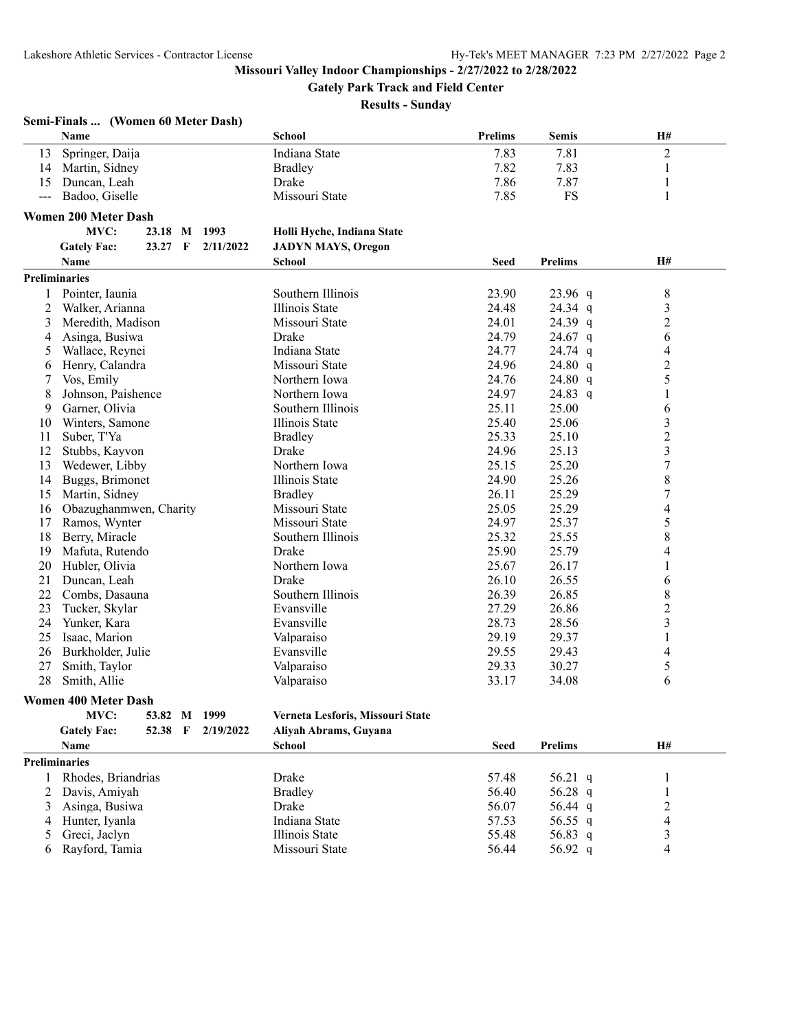**Gately Park Track and Field Center**

| Name<br>School<br><b>Prelims</b><br><b>H#</b><br><b>Semis</b><br>Springer, Daija<br>$\overline{2}$<br>Indiana State<br>7.83<br>7.81<br>13<br>7.82<br>7.83<br>14<br>Martin, Sidney<br><b>Bradley</b><br>1<br>7.86<br>Duncan, Leah<br>Drake<br>7.87<br>$\mathbf{1}$<br>15<br>7.85<br><b>FS</b><br>Badoo, Giselle<br>Missouri State<br>$\mathbf{1}$<br>$\frac{1}{2}$<br><b>Women 200 Meter Dash</b><br>MVC:<br>23.18 M 1993<br>Holli Hyche, Indiana State<br><b>Gately Fac:</b><br>23.27 F<br>2/11/2022<br><b>JADYN MAYS, Oregon</b><br><b>H#</b><br><b>Name</b><br><b>School</b><br><b>Seed</b><br><b>Prelims</b><br><b>Preliminaries</b><br>$8\,$<br>Pointer, Iaunia<br>Southern Illinois<br>23.90<br>23.96 q<br>1<br>Illinois State<br>$\mathfrak{Z}$<br>Walker, Arianna<br>24.48<br>24.34 q<br>2<br>24.01<br>24.39 q<br>$\overline{c}$<br>3<br>Meredith, Madison<br>Missouri State<br>6<br>Drake<br>24.79<br>Asinga, Busiwa<br>24.67 $q$<br>4<br>Wallace, Reynei<br>Indiana State<br>24.77<br>24.74 q<br>4<br>5<br>$\overline{2}$<br>Henry, Calandra<br>Missouri State<br>24.96<br>24.80 q<br>6<br>5<br>Vos, Emily<br>Northern Iowa<br>24.76<br>24.80 $q$<br>7<br>8<br>Johnson, Paishence<br>Northern Iowa<br>24.97<br>24.83 q<br>$\mathbf{1}$<br>Garner, Olivia<br>Southern Illinois<br>25.11<br>25.00<br>6<br>9<br>3<br>Winters, Samone<br>Illinois State<br>25.40<br>25.06<br>10<br>$\overline{c}$<br>Suber, T'Ya<br><b>Bradley</b><br>25.33<br>25.10<br>11<br>$\overline{\mathbf{3}}$<br>12<br>Stubbs, Kayvon<br>Drake<br>24.96<br>25.13<br>7<br>Northern Iowa<br>25.15<br>25.20<br>13<br>Wedewer, Libby<br>8<br>Illinois State<br>24.90<br>25.26<br>14<br>Buggs, Brimonet<br>$\boldsymbol{7}$<br>25.29<br>Martin, Sidney<br>26.11<br>15<br><b>Bradley</b><br>25.29<br>4<br>Obazughanmwen, Charity<br>Missouri State<br>25.05<br>16<br>5<br>24.97<br>Ramos, Wynter<br>Missouri State<br>25.37<br>17 |
|----------------------------------------------------------------------------------------------------------------------------------------------------------------------------------------------------------------------------------------------------------------------------------------------------------------------------------------------------------------------------------------------------------------------------------------------------------------------------------------------------------------------------------------------------------------------------------------------------------------------------------------------------------------------------------------------------------------------------------------------------------------------------------------------------------------------------------------------------------------------------------------------------------------------------------------------------------------------------------------------------------------------------------------------------------------------------------------------------------------------------------------------------------------------------------------------------------------------------------------------------------------------------------------------------------------------------------------------------------------------------------------------------------------------------------------------------------------------------------------------------------------------------------------------------------------------------------------------------------------------------------------------------------------------------------------------------------------------------------------------------------------------------------------------------------------------------------------------------------------------------------------------------------|
|                                                                                                                                                                                                                                                                                                                                                                                                                                                                                                                                                                                                                                                                                                                                                                                                                                                                                                                                                                                                                                                                                                                                                                                                                                                                                                                                                                                                                                                                                                                                                                                                                                                                                                                                                                                                                                                                                                          |
|                                                                                                                                                                                                                                                                                                                                                                                                                                                                                                                                                                                                                                                                                                                                                                                                                                                                                                                                                                                                                                                                                                                                                                                                                                                                                                                                                                                                                                                                                                                                                                                                                                                                                                                                                                                                                                                                                                          |
|                                                                                                                                                                                                                                                                                                                                                                                                                                                                                                                                                                                                                                                                                                                                                                                                                                                                                                                                                                                                                                                                                                                                                                                                                                                                                                                                                                                                                                                                                                                                                                                                                                                                                                                                                                                                                                                                                                          |
|                                                                                                                                                                                                                                                                                                                                                                                                                                                                                                                                                                                                                                                                                                                                                                                                                                                                                                                                                                                                                                                                                                                                                                                                                                                                                                                                                                                                                                                                                                                                                                                                                                                                                                                                                                                                                                                                                                          |
|                                                                                                                                                                                                                                                                                                                                                                                                                                                                                                                                                                                                                                                                                                                                                                                                                                                                                                                                                                                                                                                                                                                                                                                                                                                                                                                                                                                                                                                                                                                                                                                                                                                                                                                                                                                                                                                                                                          |
|                                                                                                                                                                                                                                                                                                                                                                                                                                                                                                                                                                                                                                                                                                                                                                                                                                                                                                                                                                                                                                                                                                                                                                                                                                                                                                                                                                                                                                                                                                                                                                                                                                                                                                                                                                                                                                                                                                          |
|                                                                                                                                                                                                                                                                                                                                                                                                                                                                                                                                                                                                                                                                                                                                                                                                                                                                                                                                                                                                                                                                                                                                                                                                                                                                                                                                                                                                                                                                                                                                                                                                                                                                                                                                                                                                                                                                                                          |
|                                                                                                                                                                                                                                                                                                                                                                                                                                                                                                                                                                                                                                                                                                                                                                                                                                                                                                                                                                                                                                                                                                                                                                                                                                                                                                                                                                                                                                                                                                                                                                                                                                                                                                                                                                                                                                                                                                          |
|                                                                                                                                                                                                                                                                                                                                                                                                                                                                                                                                                                                                                                                                                                                                                                                                                                                                                                                                                                                                                                                                                                                                                                                                                                                                                                                                                                                                                                                                                                                                                                                                                                                                                                                                                                                                                                                                                                          |
|                                                                                                                                                                                                                                                                                                                                                                                                                                                                                                                                                                                                                                                                                                                                                                                                                                                                                                                                                                                                                                                                                                                                                                                                                                                                                                                                                                                                                                                                                                                                                                                                                                                                                                                                                                                                                                                                                                          |
|                                                                                                                                                                                                                                                                                                                                                                                                                                                                                                                                                                                                                                                                                                                                                                                                                                                                                                                                                                                                                                                                                                                                                                                                                                                                                                                                                                                                                                                                                                                                                                                                                                                                                                                                                                                                                                                                                                          |
|                                                                                                                                                                                                                                                                                                                                                                                                                                                                                                                                                                                                                                                                                                                                                                                                                                                                                                                                                                                                                                                                                                                                                                                                                                                                                                                                                                                                                                                                                                                                                                                                                                                                                                                                                                                                                                                                                                          |
|                                                                                                                                                                                                                                                                                                                                                                                                                                                                                                                                                                                                                                                                                                                                                                                                                                                                                                                                                                                                                                                                                                                                                                                                                                                                                                                                                                                                                                                                                                                                                                                                                                                                                                                                                                                                                                                                                                          |
|                                                                                                                                                                                                                                                                                                                                                                                                                                                                                                                                                                                                                                                                                                                                                                                                                                                                                                                                                                                                                                                                                                                                                                                                                                                                                                                                                                                                                                                                                                                                                                                                                                                                                                                                                                                                                                                                                                          |
|                                                                                                                                                                                                                                                                                                                                                                                                                                                                                                                                                                                                                                                                                                                                                                                                                                                                                                                                                                                                                                                                                                                                                                                                                                                                                                                                                                                                                                                                                                                                                                                                                                                                                                                                                                                                                                                                                                          |
|                                                                                                                                                                                                                                                                                                                                                                                                                                                                                                                                                                                                                                                                                                                                                                                                                                                                                                                                                                                                                                                                                                                                                                                                                                                                                                                                                                                                                                                                                                                                                                                                                                                                                                                                                                                                                                                                                                          |
|                                                                                                                                                                                                                                                                                                                                                                                                                                                                                                                                                                                                                                                                                                                                                                                                                                                                                                                                                                                                                                                                                                                                                                                                                                                                                                                                                                                                                                                                                                                                                                                                                                                                                                                                                                                                                                                                                                          |
|                                                                                                                                                                                                                                                                                                                                                                                                                                                                                                                                                                                                                                                                                                                                                                                                                                                                                                                                                                                                                                                                                                                                                                                                                                                                                                                                                                                                                                                                                                                                                                                                                                                                                                                                                                                                                                                                                                          |
|                                                                                                                                                                                                                                                                                                                                                                                                                                                                                                                                                                                                                                                                                                                                                                                                                                                                                                                                                                                                                                                                                                                                                                                                                                                                                                                                                                                                                                                                                                                                                                                                                                                                                                                                                                                                                                                                                                          |
|                                                                                                                                                                                                                                                                                                                                                                                                                                                                                                                                                                                                                                                                                                                                                                                                                                                                                                                                                                                                                                                                                                                                                                                                                                                                                                                                                                                                                                                                                                                                                                                                                                                                                                                                                                                                                                                                                                          |
|                                                                                                                                                                                                                                                                                                                                                                                                                                                                                                                                                                                                                                                                                                                                                                                                                                                                                                                                                                                                                                                                                                                                                                                                                                                                                                                                                                                                                                                                                                                                                                                                                                                                                                                                                                                                                                                                                                          |
|                                                                                                                                                                                                                                                                                                                                                                                                                                                                                                                                                                                                                                                                                                                                                                                                                                                                                                                                                                                                                                                                                                                                                                                                                                                                                                                                                                                                                                                                                                                                                                                                                                                                                                                                                                                                                                                                                                          |
|                                                                                                                                                                                                                                                                                                                                                                                                                                                                                                                                                                                                                                                                                                                                                                                                                                                                                                                                                                                                                                                                                                                                                                                                                                                                                                                                                                                                                                                                                                                                                                                                                                                                                                                                                                                                                                                                                                          |
|                                                                                                                                                                                                                                                                                                                                                                                                                                                                                                                                                                                                                                                                                                                                                                                                                                                                                                                                                                                                                                                                                                                                                                                                                                                                                                                                                                                                                                                                                                                                                                                                                                                                                                                                                                                                                                                                                                          |
|                                                                                                                                                                                                                                                                                                                                                                                                                                                                                                                                                                                                                                                                                                                                                                                                                                                                                                                                                                                                                                                                                                                                                                                                                                                                                                                                                                                                                                                                                                                                                                                                                                                                                                                                                                                                                                                                                                          |
|                                                                                                                                                                                                                                                                                                                                                                                                                                                                                                                                                                                                                                                                                                                                                                                                                                                                                                                                                                                                                                                                                                                                                                                                                                                                                                                                                                                                                                                                                                                                                                                                                                                                                                                                                                                                                                                                                                          |
|                                                                                                                                                                                                                                                                                                                                                                                                                                                                                                                                                                                                                                                                                                                                                                                                                                                                                                                                                                                                                                                                                                                                                                                                                                                                                                                                                                                                                                                                                                                                                                                                                                                                                                                                                                                                                                                                                                          |
| 8<br>25.32<br>25.55<br>18<br>Berry, Miracle<br>Southern Illinois                                                                                                                                                                                                                                                                                                                                                                                                                                                                                                                                                                                                                                                                                                                                                                                                                                                                                                                                                                                                                                                                                                                                                                                                                                                                                                                                                                                                                                                                                                                                                                                                                                                                                                                                                                                                                                         |
| 25.90<br>25.79<br>Mafuta, Rutendo<br>Drake<br>4<br>19                                                                                                                                                                                                                                                                                                                                                                                                                                                                                                                                                                                                                                                                                                                                                                                                                                                                                                                                                                                                                                                                                                                                                                                                                                                                                                                                                                                                                                                                                                                                                                                                                                                                                                                                                                                                                                                    |
| 20<br>Hubler, Olivia<br>Northern Iowa<br>25.67<br>26.17<br>1                                                                                                                                                                                                                                                                                                                                                                                                                                                                                                                                                                                                                                                                                                                                                                                                                                                                                                                                                                                                                                                                                                                                                                                                                                                                                                                                                                                                                                                                                                                                                                                                                                                                                                                                                                                                                                             |
| Drake<br>21<br>Duncan, Leah<br>26.10<br>26.55<br>6                                                                                                                                                                                                                                                                                                                                                                                                                                                                                                                                                                                                                                                                                                                                                                                                                                                                                                                                                                                                                                                                                                                                                                                                                                                                                                                                                                                                                                                                                                                                                                                                                                                                                                                                                                                                                                                       |
| Southern Illinois<br>8<br>22<br>26.39<br>26.85<br>Combs, Dasauna                                                                                                                                                                                                                                                                                                                                                                                                                                                                                                                                                                                                                                                                                                                                                                                                                                                                                                                                                                                                                                                                                                                                                                                                                                                                                                                                                                                                                                                                                                                                                                                                                                                                                                                                                                                                                                         |
| Tucker, Skylar<br>26.86<br>$\overline{c}$<br>23<br>Evansville<br>27.29                                                                                                                                                                                                                                                                                                                                                                                                                                                                                                                                                                                                                                                                                                                                                                                                                                                                                                                                                                                                                                                                                                                                                                                                                                                                                                                                                                                                                                                                                                                                                                                                                                                                                                                                                                                                                                   |
| 3<br>24<br>28.73<br>28.56<br>Yunker, Kara<br>Evansville                                                                                                                                                                                                                                                                                                                                                                                                                                                                                                                                                                                                                                                                                                                                                                                                                                                                                                                                                                                                                                                                                                                                                                                                                                                                                                                                                                                                                                                                                                                                                                                                                                                                                                                                                                                                                                                  |
| 29.19<br>Isaac, Marion<br>Valparaiso<br>29.37<br>25<br>1                                                                                                                                                                                                                                                                                                                                                                                                                                                                                                                                                                                                                                                                                                                                                                                                                                                                                                                                                                                                                                                                                                                                                                                                                                                                                                                                                                                                                                                                                                                                                                                                                                                                                                                                                                                                                                                 |
| 26<br>Evansville<br>29.55<br>29.43<br>4<br>Burkholder, Julie                                                                                                                                                                                                                                                                                                                                                                                                                                                                                                                                                                                                                                                                                                                                                                                                                                                                                                                                                                                                                                                                                                                                                                                                                                                                                                                                                                                                                                                                                                                                                                                                                                                                                                                                                                                                                                             |
| 5<br>29.33<br>30.27<br>27<br>Smith, Taylor<br>Valparaiso                                                                                                                                                                                                                                                                                                                                                                                                                                                                                                                                                                                                                                                                                                                                                                                                                                                                                                                                                                                                                                                                                                                                                                                                                                                                                                                                                                                                                                                                                                                                                                                                                                                                                                                                                                                                                                                 |
| 28<br>Smith, Allie<br>33.17<br>34.08<br>6<br>Valparaiso                                                                                                                                                                                                                                                                                                                                                                                                                                                                                                                                                                                                                                                                                                                                                                                                                                                                                                                                                                                                                                                                                                                                                                                                                                                                                                                                                                                                                                                                                                                                                                                                                                                                                                                                                                                                                                                  |
| <b>Women 400 Meter Dash</b>                                                                                                                                                                                                                                                                                                                                                                                                                                                                                                                                                                                                                                                                                                                                                                                                                                                                                                                                                                                                                                                                                                                                                                                                                                                                                                                                                                                                                                                                                                                                                                                                                                                                                                                                                                                                                                                                              |
| 53.82 M 1999<br>MVC:<br>Verneta Lesforis, Missouri State                                                                                                                                                                                                                                                                                                                                                                                                                                                                                                                                                                                                                                                                                                                                                                                                                                                                                                                                                                                                                                                                                                                                                                                                                                                                                                                                                                                                                                                                                                                                                                                                                                                                                                                                                                                                                                                 |
| <b>Gately Fac:</b><br>52.38 F<br>2/19/2022<br>Aliyah Abrams, Guyana                                                                                                                                                                                                                                                                                                                                                                                                                                                                                                                                                                                                                                                                                                                                                                                                                                                                                                                                                                                                                                                                                                                                                                                                                                                                                                                                                                                                                                                                                                                                                                                                                                                                                                                                                                                                                                      |
| <b>Prelims</b><br>H#<br><b>Seed</b><br>Name<br>School                                                                                                                                                                                                                                                                                                                                                                                                                                                                                                                                                                                                                                                                                                                                                                                                                                                                                                                                                                                                                                                                                                                                                                                                                                                                                                                                                                                                                                                                                                                                                                                                                                                                                                                                                                                                                                                    |

| Preliminaries |  |  |
|---------------|--|--|
|               |  |  |
|               |  |  |
|               |  |  |
|               |  |  |

|    | Preliminaries      |                |       |         |   |
|----|--------------------|----------------|-------|---------|---|
|    | Rhodes, Briandrias | Drake          | 57.48 | 56.21 q |   |
|    | 2 Davis, Amiyah    | <b>Bradley</b> | 56.40 | 56.28 q |   |
| 3  | Asinga, Busiwa     | Drake          | 56.07 | 56.44 q | ∼ |
| 4  | Hunter, Ivanla     | Indiana State  | 57.53 | 56.55 q |   |
|    | Greci, Jaclyn      | Illinois State | 55.48 | 56.83 q |   |
| 6. | Rayford, Tamia     | Missouri State | 56.44 | 56.92 q |   |
|    |                    |                |       |         |   |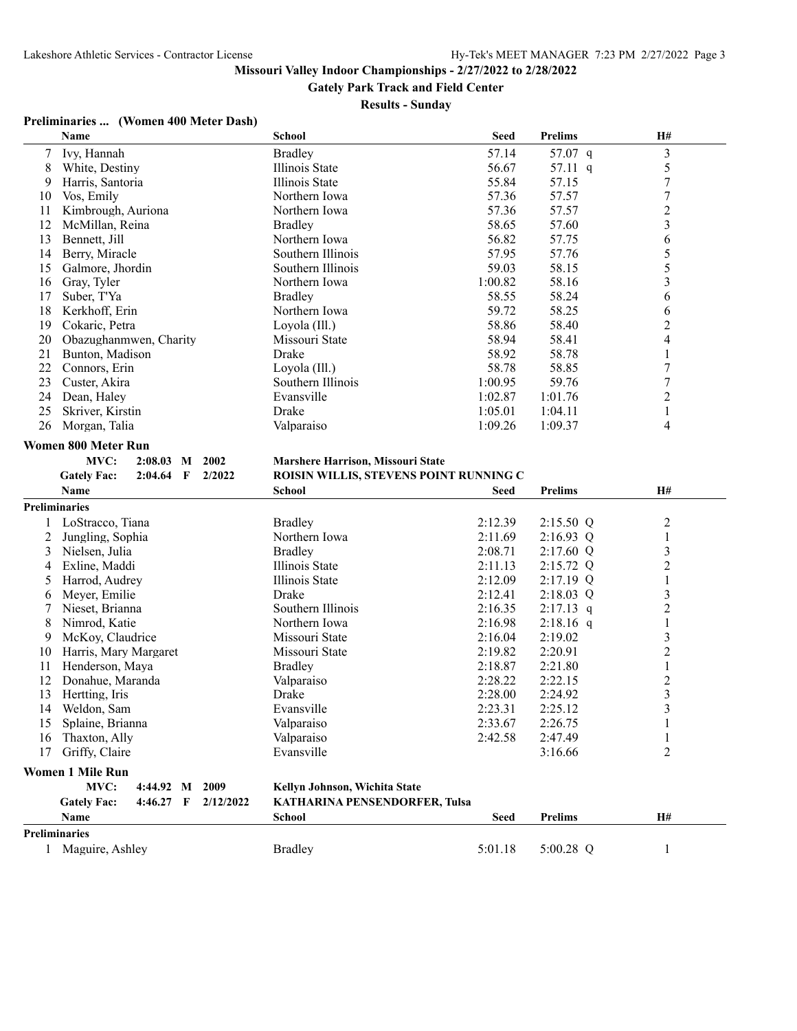**Gately Park Track and Field Center**

#### **Results - Sunday**

#### **Preliminaries ... (Women 400 Meter Dash)**

|                | Name                                                       | <b>School</b>                          | <b>Seed</b> | <b>Prelims</b>     | H#                      |  |  |
|----------------|------------------------------------------------------------|----------------------------------------|-------------|--------------------|-------------------------|--|--|
| 7              | Ivy, Hannah                                                | <b>Bradley</b>                         | 57.14       | 57.07 q            | 3                       |  |  |
| 8              | White, Destiny                                             | Illinois State                         | 56.67       | 57.11 q            | 5                       |  |  |
| 9              | Harris, Santoria                                           | Illinois State                         | 55.84       | 57.15              | $\sqrt{ }$              |  |  |
| 10             | Vos, Emily                                                 | Northern Iowa                          | 57.36       | 57.57              | $\overline{7}$          |  |  |
| 11             | Kimbrough, Auriona                                         | Northern Iowa                          | 57.36       | 57.57              | $\overline{2}$          |  |  |
| 12             | McMillan, Reina                                            | <b>Bradley</b>                         | 58.65       | 57.60              | $\overline{\mathbf{3}}$ |  |  |
| 13             | Bennett, Jill                                              | Northern Iowa                          | 56.82       | 57.75              | 6                       |  |  |
| 14             | Berry, Miracle                                             | Southern Illinois                      | 57.95       | 57.76              | 5                       |  |  |
| 15             | Galmore, Jhordin                                           | Southern Illinois                      | 59.03       | 58.15              | 5                       |  |  |
| 16             | Gray, Tyler                                                | Northern Iowa                          | 1:00.82     | 58.16              | $\overline{\mathbf{3}}$ |  |  |
| 17             | Suber, T'Ya                                                | <b>Bradley</b>                         | 58.55       | 58.24              | 6                       |  |  |
| 18             | Kerkhoff, Erin                                             | Northern Iowa                          | 59.72       | 58.25              | 6                       |  |  |
| 19             | Cokaric, Petra                                             | Loyola (Ill.)                          | 58.86       | 58.40              | $\overline{2}$          |  |  |
| 20             | Obazughanmwen, Charity                                     | Missouri State                         | 58.94       | 58.41              | $\overline{4}$          |  |  |
| 21             | Bunton, Madison                                            | Drake                                  | 58.92       | 58.78              | $\,1$                   |  |  |
| 22             | Connors, Erin                                              | Loyola (Ill.)                          | 58.78       | 58.85              | $\overline{7}$          |  |  |
| 23             | Custer, Akira                                              | Southern Illinois                      | 1:00.95     | 59.76              | $\overline{7}$          |  |  |
| 24             | Dean, Haley                                                | Evansville                             | 1:02.87     | 1:01.76            | $\overline{2}$          |  |  |
| 25             | Skriver, Kirstin                                           | Drake                                  | 1:05.01     | 1:04.11            | $\mathbf{1}$            |  |  |
| 26             | Morgan, Talia                                              | Valparaiso                             | 1:09.26     | 1:09.37            | 4                       |  |  |
|                | <b>Women 800 Meter Run</b>                                 |                                        |             |                    |                         |  |  |
|                | MVC:<br>2:08.03 M 2002                                     | Marshere Harrison, Missouri State      |             |                    |                         |  |  |
|                |                                                            | ROISIN WILLIS, STEVENS POINT RUNNING C |             |                    |                         |  |  |
|                |                                                            |                                        |             |                    |                         |  |  |
|                | <b>Gately Fac:</b><br>2/2022<br>$2:04.64$ F<br><b>Name</b> | <b>School</b>                          | <b>Seed</b> | <b>Prelims</b>     | H#                      |  |  |
|                | <b>Preliminaries</b>                                       |                                        |             |                    |                         |  |  |
| $\mathbf{1}$   | LoStracco, Tiana                                           | <b>Bradley</b>                         | 2:12.39     | 2:15.50 Q          | $\overline{c}$          |  |  |
| $\overline{c}$ | Jungling, Sophia                                           | Northern Iowa                          | 2:11.69     | 2:16.93 Q          | $\mathbf{1}$            |  |  |
| 3              | Nielsen, Julia                                             | <b>Bradley</b>                         | 2:08.71     | 2:17.60 Q          | 3                       |  |  |
| 4              | Exline, Maddi                                              | <b>Illinois State</b>                  | 2:11.13     | 2:15.72 Q          | $\overline{2}$          |  |  |
| 5              | Harrod, Audrey                                             | Illinois State                         | 2:12.09     | 2:17.19 Q          | $\mathbf{1}$            |  |  |
| 6              |                                                            | Drake                                  | 2:12.41     | $2:18.03$ Q        | $\overline{\mathbf{3}}$ |  |  |
| 7              | Meyer, Emilie<br>Nieset, Brianna                           | Southern Illinois                      | 2:16.35     | $2:17.13$ q        | $\overline{c}$          |  |  |
| 8              | Nimrod, Katie                                              | Northern Iowa                          | 2:16.98     | $2:18.16$ q        | 1                       |  |  |
| 9              | McKoy, Claudrice                                           | Missouri State                         | 2:16.04     | 2:19.02            | $\overline{\mathbf{3}}$ |  |  |
| 10             |                                                            | Missouri State                         | 2:19.82     | 2:20.91            | $\overline{2}$          |  |  |
| 11             | Harris, Mary Margaret<br>Henderson, Maya                   | <b>Bradley</b>                         | 2:18.87     | 2:21.80            | 1                       |  |  |
| 12             | Donahue, Maranda                                           |                                        | 2:28.22     | 2:22.15            | $\overline{2}$          |  |  |
| 13             | Hertting, Iris                                             | Valparaiso<br>Drake                    | 2:28.00     | 2:24.92            | $\overline{3}$          |  |  |
| 14             |                                                            | Evansville                             |             |                    |                         |  |  |
| 15             | Weldon, Sam                                                |                                        | 2:23.31     | 2:25.12            | 3<br>$\mathbf{1}$       |  |  |
| 16             | Splaine, Brianna                                           | Valparaiso<br>Valparaiso               | 2:33.67     | 2:26.75<br>2:47.49 | 1                       |  |  |
| 17             | Thaxton, Ally<br>Griffy, Claire                            | Evansville                             | 2:42.58     | 3:16.66            | 2                       |  |  |

#### **Women 1 Mile Run**

# **MVC: 4:44.92 M 2009 Kellyn Johnson, Wichita State**

**Gately Fac: 4:46.27 F 2/12/2022 KATHARINA PENSENDORFER, Tulsa**

|                      | <b>Name</b>     | School         | Seed    | <b>Prelims</b> | H# |
|----------------------|-----------------|----------------|---------|----------------|----|
| <b>Preliminaries</b> |                 |                |         |                |    |
|                      | Maguire, Ashley | <b>Bradley</b> | 5:01.18 | 5:00.28        |    |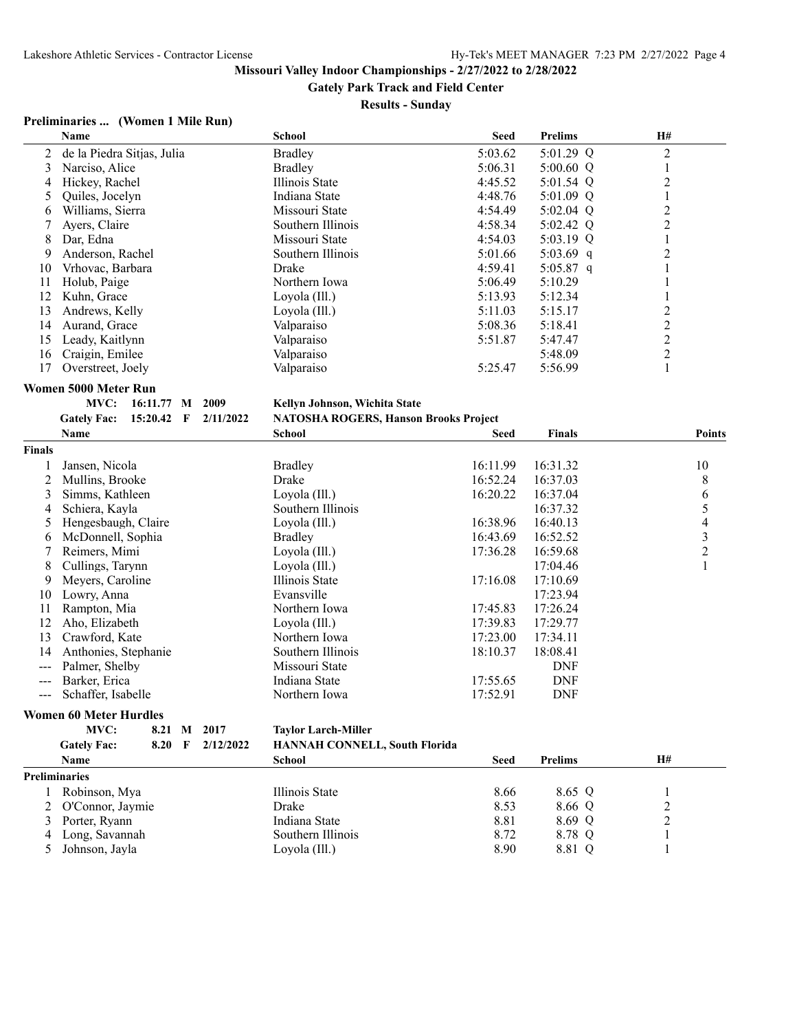**Gately Park Track and Field Center**

#### **Results - Sunday**

## **Preliminaries ... (Women 1 Mile Run)**

|                  | Name                                  |           | <b>School</b>                                | <b>Seed</b>          | <b>Prelims</b>       | H#             |
|------------------|---------------------------------------|-----------|----------------------------------------------|----------------------|----------------------|----------------|
| $\overline{2}$   | de la Piedra Sitjas, Julia            |           | <b>Bradley</b>                               | 5:03.62              | 5:01.29 Q            | $\overline{c}$ |
| 3                | Narciso, Alice                        |           | <b>Bradley</b>                               | 5:06.31              | $5:00.60$ Q          | 1              |
| 4                | Hickey, Rachel                        |           | Illinois State                               | 4:45.52              | 5:01.54 Q            | $\overline{2}$ |
| 5                | Quiles, Jocelyn                       |           | Indiana State                                | 4:48.76              | 5:01.09 Q            | $\mathbf{1}$   |
| 6                | Williams, Sierra                      |           | Missouri State                               | 4:54.49              | 5:02.04 Q            | $\overline{c}$ |
| $\boldsymbol{7}$ | Ayers, Claire                         |           | Southern Illinois                            | 4:58.34              | 5:02.42 Q            | $\overline{2}$ |
| 8                | Dar, Edna                             |           | Missouri State                               | 4:54.03              | 5:03.19 Q            | $\mathbf{1}$   |
| 9                | Anderson, Rachel                      |           | Southern Illinois                            | 5:01.66              | 5:03.69 q            | $\overline{2}$ |
| 10               | Vrhovac, Barbara                      |           | Drake                                        | 4:59.41              | 5:05.87 q            | $\mathbf{1}$   |
| 11               | Holub, Paige                          |           | Northern Iowa                                | 5:06.49              | 5:10.29              | $\,1$          |
| 12               | Kuhn, Grace                           |           | Loyola (Ill.)                                | 5:13.93              | 5:12.34              | 1              |
| 13               | Andrews, Kelly                        |           | Loyola (Ill.)                                | 5:11.03              | 5:15.17              | $\overline{c}$ |
| 14               | Aurand, Grace                         |           | Valparaiso                                   | 5:08.36              | 5:18.41              | $\overline{c}$ |
| 15               | Leady, Kaitlynn                       |           | Valparaiso                                   | 5:51.87              | 5:47.47              | $\overline{c}$ |
| 16               | Craigin, Emilee                       |           | Valparaiso                                   |                      | 5:48.09              | $\overline{c}$ |
| 17               | Overstreet, Joely                     |           | Valparaiso                                   | 5:25.47              | 5:56.99              | 1              |
|                  | Women 5000 Meter Run                  |           |                                              |                      |                      |                |
|                  | 16:11.77 M 2009<br>MVC:               |           | Kellyn Johnson, Wichita State                |                      |                      |                |
|                  | <b>Gately Fac:</b><br>15:20.42 F      | 2/11/2022 | <b>NATOSHA ROGERS, Hanson Brooks Project</b> |                      |                      |                |
|                  | Name                                  |           | <b>School</b>                                | <b>Seed</b>          | <b>Finals</b>        | <b>Points</b>  |
| <b>Finals</b>    |                                       |           |                                              |                      |                      |                |
|                  |                                       |           |                                              | 16:11.99             |                      |                |
| 1                | Jansen, Nicola                        |           | <b>Bradley</b><br>Drake                      |                      | 16:31.32             | 10             |
| 2                | Mullins, Brooke<br>Simms, Kathleen    |           | Loyola (Ill.)                                | 16:52.24<br>16:20.22 | 16:37.03             | 8              |
| 3                |                                       |           | Southern Illinois                            |                      | 16:37.04<br>16:37.32 | 6              |
| 4                | Schiera, Kayla<br>Hengesbaugh, Claire |           |                                              | 16:38.96             | 16:40.13             | $\frac{5}{4}$  |
| 5                |                                       |           | Loyola (Ill.)                                |                      |                      | $\overline{3}$ |
| 6                | McDonnell, Sophia                     |           | <b>Bradley</b>                               | 16:43.69             | 16:52.52             | $\overline{2}$ |
| 7                | Reimers, Mimi                         |           | Loyola (Ill.)                                | 17:36.28             | 16:59.68             |                |
| 8                | Cullings, Tarynn                      |           | Loyola (Ill.)                                |                      | 17:04.46             | $\mathbf{1}$   |
| 9                | Meyers, Caroline                      |           | Illinois State<br>Evansville                 | 17:16.08             | 17:10.69<br>17:23.94 |                |
| 10               | Lowry, Anna                           |           |                                              |                      |                      |                |
| 11               | Rampton, Mia                          |           | Northern Iowa                                | 17:45.83             | 17:26.24             |                |
| 12               | Aho, Elizabeth                        |           | Loyola (Ill.)                                | 17:39.83             | 17:29.77             |                |
| 13               | Crawford, Kate                        |           | Northern Iowa                                | 17:23.00             | 17:34.11             |                |
| 14               | Anthonies, Stephanie                  |           | Southern Illinois                            | 18:10.37             | 18:08.41             |                |
| $\frac{1}{2}$    | Palmer, Shelby                        |           | Missouri State                               |                      | <b>DNF</b>           |                |
| ---              | Barker, Erica                         |           | Indiana State                                | 17:55.65             | <b>DNF</b>           |                |
| $\frac{1}{2}$    | Schaffer, Isabelle                    |           | Northern Iowa                                | 17:52.91             | <b>DNF</b>           |                |
|                  | <b>Women 60 Meter Hurdles</b>         |           |                                              |                      |                      |                |
|                  | MVC:<br>8.21 M                        | 2017      | <b>Taylor Larch-Miller</b>                   |                      |                      |                |
|                  | <b>Gately Fac:</b><br>8.20 F          | 2/12/2022 | <b>HANNAH CONNELL, South Florida</b>         |                      |                      |                |
|                  | <b>Name</b>                           |           | <b>School</b>                                | Seed                 | Prelims              | H#             |

|   | <b>Name</b>          | School            | <b>Seed</b> | <b>Prelims</b> | H# |  |  |  |
|---|----------------------|-------------------|-------------|----------------|----|--|--|--|
|   | <b>Preliminaries</b> |                   |             |                |    |  |  |  |
|   | Robinson, Mya        | Illinois State    | 8.66        | 8.65 Q         |    |  |  |  |
|   | 2 O'Connor, Jaymie   | Drake             | 8.53        | 8.66 Q         | ∼  |  |  |  |
|   | Porter, Ryann        | Indiana State     | 8.81        | 8.69 Q         | ∠  |  |  |  |
| 4 | Long, Savannah       | Southern Illinois | 8.72        | 8.78 Q         |    |  |  |  |
|   | Johnson, Jayla       | Loyola (Ill.)     | 8.90        | 8.81 Q         |    |  |  |  |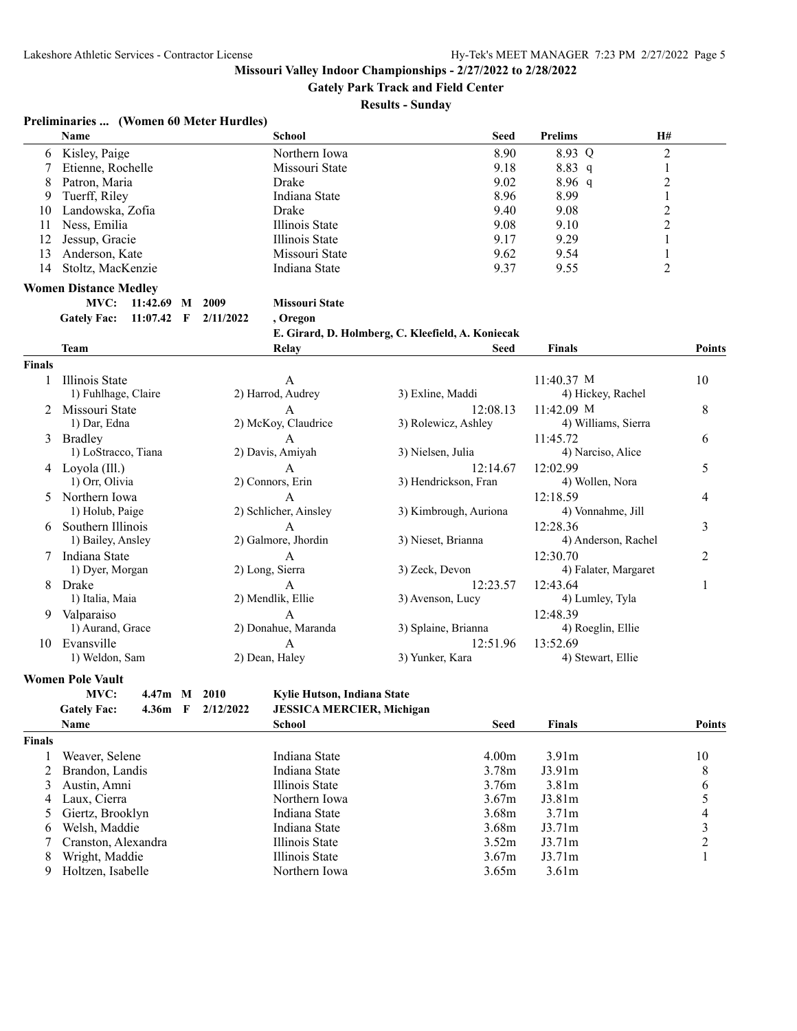**Gately Park Track and Field Center**

#### **Results - Sunday**

# **Preliminaries ... (Women 60 Meter Hurdles)**

|        | <b>Name</b>                        | <b>School</b>         | <b>Seed</b>                                       | <b>Prelims</b>       | H#             |
|--------|------------------------------------|-----------------------|---------------------------------------------------|----------------------|----------------|
| 6      | Kisley, Paige                      | Northern Iowa         | 8.90                                              | 8.93 Q               | $\overline{c}$ |
| 7      | Etienne, Rochelle                  | Missouri State        | 9.18                                              | 8.83 q               | $\mathbf{1}$   |
| 8      | Patron, Maria                      | Drake                 | 9.02                                              | $8.96\ q$            | $\overline{c}$ |
| 9      | Tuerff, Riley                      | Indiana State         | 8.96                                              | 8.99                 | $\mathbf{1}$   |
| 10     | Landowska, Zofia                   | Drake                 | 9.40                                              | 9.08                 | $\overline{c}$ |
| 11     | Ness, Emilia                       | Illinois State        | 9.08                                              | 9.10                 | $\overline{c}$ |
| 12     | Jessup, Gracie                     | Illinois State        | 9.17                                              | 9.29                 | 1              |
| 13     | Anderson, Kate                     | Missouri State        | 9.62                                              | 9.54                 | 1              |
| 14     | Stoltz, MacKenzie                  | Indiana State         | 9.37                                              | 9.55                 | 2              |
|        | <b>Women Distance Medley</b>       |                       |                                                   |                      |                |
|        | MVC:<br>11:42.69 M 2009            | <b>Missouri State</b> |                                                   |                      |                |
|        | <b>Gately Fac:</b><br>$11:07.42$ F | 2/11/2022<br>, Oregon |                                                   |                      |                |
|        |                                    |                       | E. Girard, D. Holmberg, C. Kleefield, A. Koniecak |                      |                |
|        | <b>Team</b>                        | Relay                 | Seed                                              | <b>Finals</b>        | <b>Points</b>  |
| Finals |                                    |                       |                                                   |                      |                |
| 1      | Illinois State                     | А                     |                                                   | $11:40.37$ M         | 10             |
|        | 1) Fuhlhage, Claire                | 2) Harrod, Audrey     | 3) Exline, Maddi                                  | 4) Hickey, Rachel    |                |
|        | 2 Missouri State                   | A                     | 12:08.13                                          | 11:42.09 M           | 8              |
|        | 1) Dar, Edna                       | 2) McKoy, Claudrice   | 3) Rolewicz, Ashley                               | 4) Williams, Sierra  |                |
| 3      | Bradlev                            | $\overline{A}$        |                                                   | 11:45.72             | 6              |
|        | 1) LoStracco, Tiana                | 2) Davis, Amiyah      | 3) Nielsen, Julia                                 | 4) Narciso, Alice    |                |
|        | 4 Loyola (Ill.)                    | $\overline{A}$        | 12:14.67                                          | 12:02.99             | 5              |
|        | 1) Orr, Olivia                     | 2) Connors, Erin      | 3) Hendrickson, Fran                              | 4) Wollen, Nora      |                |
| 5      | Northern Iowa                      | $\overline{A}$        |                                                   | 12:18.59             | 4              |
|        | 1) Holub, Paige                    | 2) Schlicher, Ainsley | 3) Kimbrough, Auriona                             | 4) Vonnahme, Jill    |                |
|        | Southern Illinois                  | $\overline{A}$        |                                                   | 12:28.36             | 3              |
|        | 1) Bailey, Ansley                  | 2) Galmore, Jhordin   | 3) Nieset, Brianna                                | 4) Anderson, Rachel  |                |
|        | Indiana State                      | A                     |                                                   | 12:30.70             | 2              |
|        | 1) Dyer, Morgan                    | 2) Long, Sierra       | 3) Zeck, Devon                                    | 4) Falater, Margaret |                |
| 8      | Drake                              | A                     | 12:23.57                                          | 12:43.64             | 1              |
|        | 1) Italia, Maia                    | 2) Mendlik, Ellie     | 3) Avenson, Lucy                                  | 4) Lumley, Tyla      |                |
| 9      | Valparaiso                         | A                     |                                                   | 12:48.39             |                |
|        | 1) Aurand, Grace                   | 2) Donahue, Maranda   | 3) Splaine, Brianna                               | 4) Roeglin, Ellie    |                |
|        | 10 Evansville                      | A                     | 12:51.96                                          | 13:52.69             |                |
|        | 1) Weldon, Sam                     | 2) Dean, Haley        | 3) Yunker, Kara                                   | 4) Stewart, Ellie    |                |
|        |                                    |                       |                                                   |                      |                |
|        | <b>Women Pole Vault</b>            |                       |                                                   |                      |                |

#### **MVC: 4.47m M 2010 Kylie Hutson, Indiana State**

| <b>JESSICA MERCIER, Michigan</b><br>4.36m F $2/12/2022$<br><b>Gately Fac:</b> |
|-------------------------------------------------------------------------------|
|-------------------------------------------------------------------------------|

|               | <b>Name</b>         | School         | <b>Seed</b>       | <b>Finals</b>     | Points |
|---------------|---------------------|----------------|-------------------|-------------------|--------|
| <b>Finals</b> |                     |                |                   |                   |        |
|               | Weaver, Selene      | Indiana State  | 4.00 <sub>m</sub> | 3.91m             | 10     |
|               | 2 Brandon, Landis   | Indiana State  | 3.78 <sub>m</sub> | J3.91m            | 8      |
| 3             | Austin, Amni        | Illinois State | 3.76m             | 3.81 <sub>m</sub> | 6      |
| 4             | Laux. Cierra        | Northern Iowa  | 3.67m             | J3.81m            |        |
|               | 5 Giertz, Brooklyn  | Indiana State  | 3.68 <sub>m</sub> | 3.71 <sub>m</sub> | 4      |
| 6             | Welsh, Maddie       | Indiana State  | 3.68 <sub>m</sub> | J3.71m            |        |
|               | Cranston, Alexandra | Illinois State | 3.52m             | J3.71m            |        |
| 8             | Wright, Maddie      | Illinois State | 3.67 <sub>m</sub> | J3.71m            |        |
| 9             | Holtzen, Isabelle   | Northern Iowa  | 3.65m             | 3.61 <sub>m</sub> |        |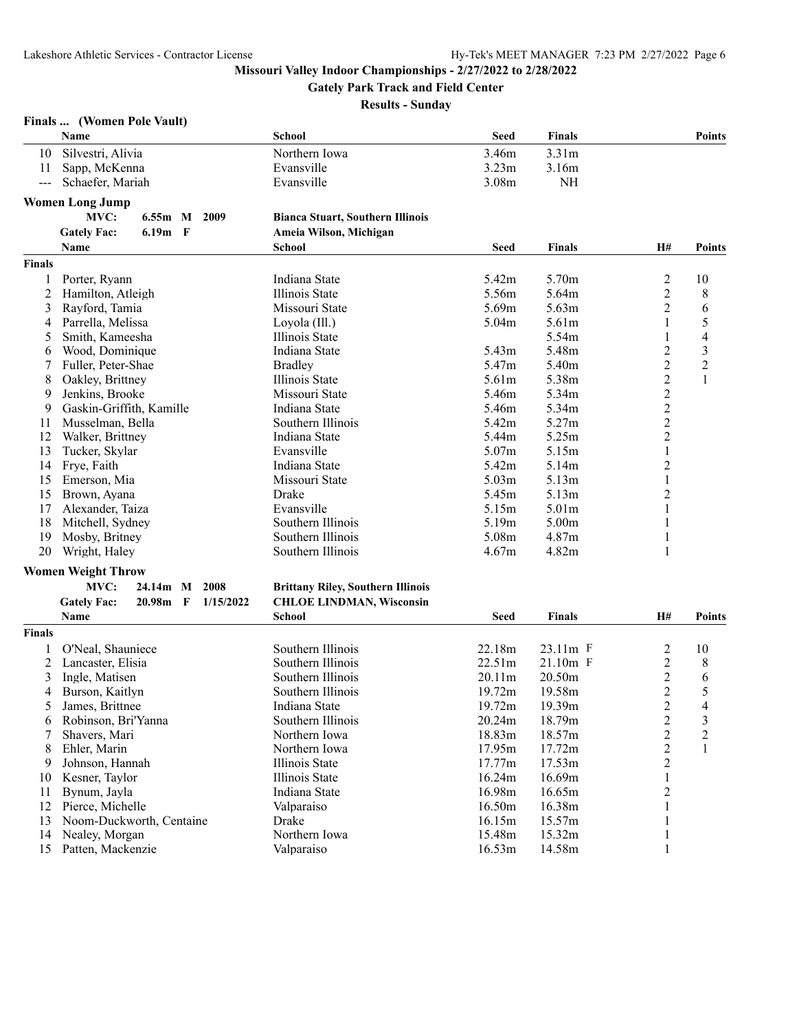**Gately Park Track and Field Center**

**Results - Sunday**

#### **Finals ... (Women Pole Vault)**

|                | Name                                          | School                                   | <b>Seed</b>       | <b>Finals</b>     |                         | <b>Points</b>           |
|----------------|-----------------------------------------------|------------------------------------------|-------------------|-------------------|-------------------------|-------------------------|
| 10             | Silvestri, Alivia                             | Northern Iowa                            | 3.46m             | 3.31 <sub>m</sub> |                         |                         |
| 11             | Sapp, McKenna                                 | Evansville                               | 3.23 <sub>m</sub> | 3.16m             |                         |                         |
| $---$          | Schaefer, Mariah                              | Evansville                               | 3.08m             | NH                |                         |                         |
|                | <b>Women Long Jump</b>                        |                                          |                   |                   |                         |                         |
|                | MVC:<br>$6.55m$ M<br>2009                     | <b>Bianca Stuart, Southern Illinois</b>  |                   |                   |                         |                         |
|                | 6.19m F<br><b>Gately Fac:</b>                 | Ameia Wilson, Michigan                   |                   |                   |                         |                         |
|                | Name                                          | <b>School</b>                            | <b>Seed</b>       | <b>Finals</b>     | H#                      | <b>Points</b>           |
| <b>Finals</b>  |                                               |                                          |                   |                   |                         |                         |
| 1              | Porter, Ryann                                 | Indiana State                            | 5.42m             | 5.70m             | $\overline{c}$          | 10                      |
| 2              | Hamilton, Atleigh                             | Illinois State                           | 5.56m             | 5.64m             | $\overline{c}$          | 8                       |
| 3              | Rayford, Tamia                                | Missouri State                           | 5.69m             | 5.63 <sub>m</sub> | 2                       | 6                       |
| 4              | Parrella, Melissa                             | Loyola (Ill.)                            | 5.04m             | 5.61 <sub>m</sub> | 1                       | 5                       |
| 5              | Smith, Kameesha                               | Illinois State                           |                   | 5.54m             | 1                       | 4                       |
| 6              | Wood, Dominique                               | Indiana State                            | 5.43m             | 5.48m             | $\overline{c}$          | $\overline{\mathbf{3}}$ |
| 7              | Fuller, Peter-Shae                            | <b>Bradley</b>                           | 5.47m             | 5.40m             | $\overline{c}$          | $\overline{2}$          |
| 8              | Oakley, Brittney                              | Illinois State                           | 5.61m             | 5.38m             | $\overline{c}$          | $\mathbf{1}$            |
| 9              | Jenkins, Brooke                               | Missouri State                           | 5.46m             | 5.34m             | $\overline{c}$          |                         |
| 9              | Gaskin-Griffith, Kamille                      | Indiana State                            | 5.46m             | 5.34m             | $\overline{c}$          |                         |
| 11             | Musselman, Bella                              | Southern Illinois                        | 5.42m             | 5.27m             | $\overline{c}$          |                         |
| 12             | Walker, Brittney                              | Indiana State                            | 5.44m             | 5.25m             | $\sqrt{2}$              |                         |
| 13             | Tucker, Skylar                                | Evansville                               | 5.07m             | 5.15m             | $\mathbf{1}$            |                         |
| 14             | Frye, Faith                                   | Indiana State                            | 5.42m             | 5.14m             | $\overline{c}$          |                         |
| 15             | Emerson, Mia                                  | Missouri State                           | 5.03 <sub>m</sub> | 5.13m             | $\mathbf{1}$            |                         |
| 15             | Brown, Ayana                                  | Drake                                    | 5.45m             | 5.13m             | $\overline{c}$          |                         |
| 17             | Alexander, Taiza                              | Evansville                               | 5.15m             | 5.01 <sub>m</sub> | 1                       |                         |
| 18             | Mitchell, Sydney                              | Southern Illinois                        | 5.19m             | 5.00 <sub>m</sub> | 1                       |                         |
| 19             | Mosby, Britney                                | Southern Illinois                        | 5.08m             | 4.87m             | 1                       |                         |
| 20             | Wright, Haley                                 | Southern Illinois                        | 4.67m             | 4.82m             | $\mathbf{1}$            |                         |
|                | <b>Women Weight Throw</b>                     |                                          |                   |                   |                         |                         |
|                | MVC:<br>24.14m M<br>2008                      | <b>Brittany Riley, Southern Illinois</b> |                   |                   |                         |                         |
|                | <b>Gately Fac:</b><br>$20.98m$ F<br>1/15/2022 | <b>CHLOE LINDMAN, Wisconsin</b>          |                   |                   |                         |                         |
|                | <b>Name</b>                                   | <b>School</b>                            | <b>Seed</b>       | <b>Finals</b>     | H#                      | <b>Points</b>           |
| <b>Finals</b>  |                                               |                                          |                   |                   |                         |                         |
| 1              | O'Neal, Shauniece                             | Southern Illinois                        | 22.18m            | 23.11m F          | $\overline{\mathbf{c}}$ | 10                      |
| $\overline{c}$ | Lancaster, Elisia                             | Southern Illinois                        | 22.51m            | 21.10m F          | $\boldsymbol{2}$        | 8                       |
| 3              | Ingle, Matisen                                | Southern Illinois                        | 20.11m            | 20.50m            | $\overline{2}$          | 6                       |

14 Nealey, Morgan Northern Iowa 15.48m 15.32m 1 15 Patten, Mackenzie Valparaiso 16.53m 14.58m 1

4 Burson, Kaitlyn Southern Illinois 19.72m 19.58m 2 5<br>
5 James, Brittnee Indiana State 19.72m 19.39m 2 4<br>
6 Robinson, Bri'Yanna State 19.72m 18.79m 2 3 5 James, Brittnee Indiana State 19.72m 19.39m 2 4 6 Robinson, Bri'Yanna Southern Illinois 20.24m 18.79m 2 3 7 Shavers, Mari Northern Iowa 18.83m 18.57m 2 2 8 Ehler, Marin 18 2 2 2 2 2 1 1 11.95m 17.72m 2 1<br>9 Johnson, Hannah 11.100 Illinois State 17.77m 17.53m 2 9 Johnson, Hannah Illinois State 17.77m 17.53m<br>16.24m 16.69m Illinois State 16.24m 16.69m 10 Kesner, Taylor 16.69m 11 and 16.69m 16.69m 16.69m 16.69m 16.69m 16.69m 16.69m 16.69m 16.69m 16.65m 16.65m 1 11 Bynum, Jayla 16.65m 2<br>12 Pierce, Michelle 16.50m 16.50m 16.38m 2<br>16.50m 16.38m 1 12 Pierce, Michelle Valparaiso 16.50m 16.38m 1 13 Noom-Duckworth, Centaine Drake 16.15m 15.57m 1

3 Ingle, Matisen Southern Illinois 20.11m 20.50m 2 6<br>4 Burson, Kaitlyn Southern Illinois 19.72m 19.58m 2 5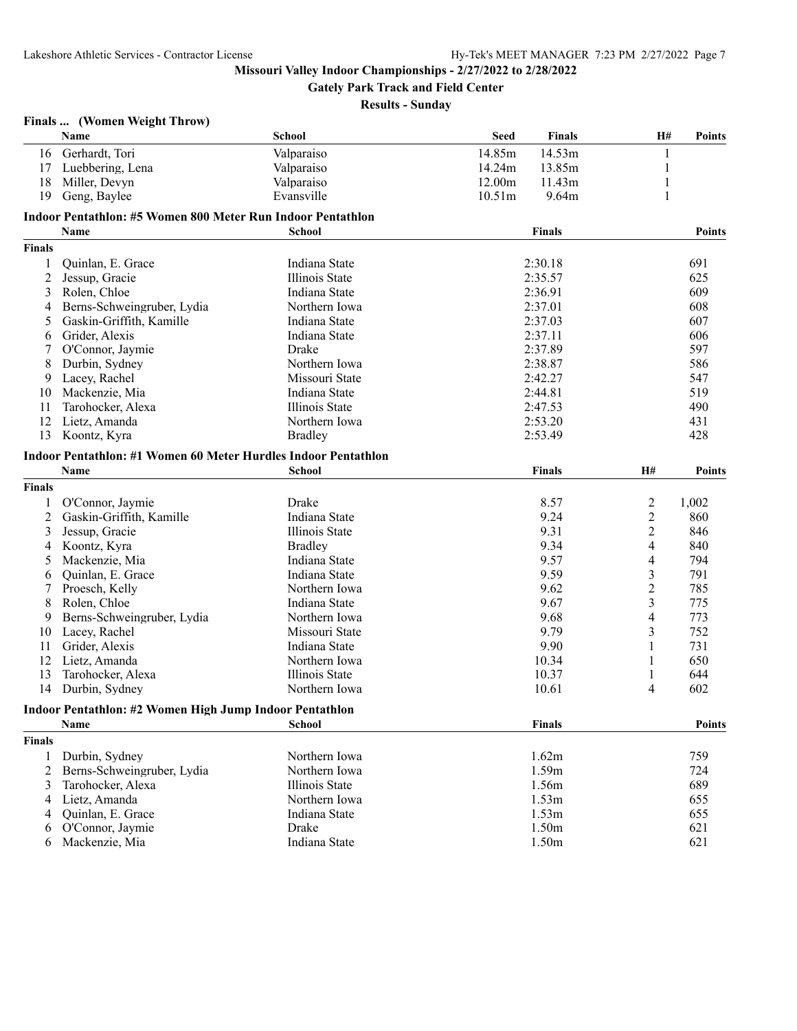**Gately Park Track and Field Center**

| Finals |  | (Women Weight Throw) |
|--------|--|----------------------|
|--------|--|----------------------|

|               | Name                                                           | <b>School</b>  | <b>Seed</b>        | <b>Finals</b>     | H#                       | <b>Points</b> |
|---------------|----------------------------------------------------------------|----------------|--------------------|-------------------|--------------------------|---------------|
| 16            | Gerhardt, Tori                                                 | Valparaiso     | 14.85m             | 14.53m            |                          |               |
| 17            | Luebbering, Lena                                               | Valparaiso     | 14.24m             | 13.85m            | 1                        |               |
| 18            | Miller, Devyn                                                  | Valparaiso     | 12.00m             | 11.43m            | $\mathbf{1}$             |               |
| 19            | Geng, Baylee                                                   | Evansville     | 10.51 <sub>m</sub> | 9.64m             | 1                        |               |
|               | Indoor Pentathlon: #5 Women 800 Meter Run Indoor Pentathlon    |                |                    |                   |                          |               |
|               | Name                                                           | School         |                    | <b>Finals</b>     |                          | <b>Points</b> |
| <b>Finals</b> |                                                                |                |                    |                   |                          |               |
|               |                                                                | Indiana State  |                    | 2:30.18           |                          | 691           |
| 1             | Quinlan, E. Grace<br>Jessup, Gracie                            | Illinois State |                    | 2:35.57           |                          | 625           |
| 2             | Rolen, Chloe                                                   |                |                    |                   |                          |               |
| 3             |                                                                | Indiana State  |                    | 2:36.91           |                          | 609           |
| 4             | Berns-Schweingruber, Lydia                                     | Northern Iowa  |                    | 2:37.01           |                          | 608           |
| 5             | Gaskin-Griffith, Kamille                                       | Indiana State  |                    | 2:37.03           |                          | 607           |
| 6             | Grider, Alexis                                                 | Indiana State  |                    | 2:37.11           |                          | 606           |
| 7             | O'Connor, Jaymie                                               | Drake          |                    | 2:37.89           |                          | 597           |
| 8             | Durbin, Sydney                                                 | Northern Iowa  |                    | 2:38.87           |                          | 586           |
| 9             | Lacey, Rachel                                                  | Missouri State |                    | 2:42.27           |                          | 547           |
| 10            | Mackenzie, Mia                                                 | Indiana State  |                    | 2:44.81           |                          | 519           |
| 11            | Tarohocker, Alexa                                              | Illinois State |                    | 2:47.53           |                          | 490           |
| 12            | Lietz, Amanda                                                  | Northern Iowa  |                    | 2:53.20           |                          | 431           |
| 13            | Koontz, Kyra                                                   | <b>Bradley</b> |                    | 2:53.49           |                          | 428           |
|               | Indoor Pentathlon: #1 Women 60 Meter Hurdles Indoor Pentathlon |                |                    |                   |                          |               |
|               | Name                                                           | School         |                    | <b>Finals</b>     | H#                       | <b>Points</b> |
| <b>Finals</b> |                                                                |                |                    |                   |                          |               |
| 1             | O'Connor, Jaymie                                               | Drake          |                    | 8.57              | $\overline{c}$           | 1,002         |
| 2             | Gaskin-Griffith, Kamille                                       | Indiana State  |                    | 9.24              | $\overline{2}$           | 860           |
| 3             | Jessup, Gracie                                                 | Illinois State |                    | 9.31              | $\overline{c}$           | 846           |
| 4             | Koontz, Kyra                                                   | <b>Bradley</b> |                    | 9.34              | 4                        | 840           |
| 5             | Mackenzie, Mia                                                 | Indiana State  |                    | 9.57              | 4                        | 794           |
| 6             | Quinlan, E. Grace                                              | Indiana State  |                    | 9.59              | 3                        | 791           |
| 7             | Proesch, Kelly                                                 | Northern Iowa  |                    | 9.62              | $\overline{c}$           | 785           |
| 8             | Rolen, Chloe                                                   | Indiana State  |                    | 9.67              | 3                        | 775           |
| 9             | Berns-Schweingruber, Lydia                                     | Northern Iowa  |                    | 9.68              | $\overline{\mathcal{A}}$ | 773           |
| 10            | Lacey, Rachel                                                  | Missouri State |                    | 9.79              | 3                        | 752           |
| 11            | Grider, Alexis                                                 | Indiana State  |                    | 9.90              | 1                        | 731           |
| 12            | Lietz, Amanda                                                  | Northern Iowa  |                    | 10.34             | 1                        | 650           |
| 13            | Tarohocker, Alexa                                              | Illinois State |                    | 10.37             | $\mathbf{1}$             | 644           |
| 14            | Durbin, Sydney                                                 | Northern Iowa  |                    | 10.61             | 4                        | 602           |
|               |                                                                |                |                    |                   |                          |               |
|               | Indoor Pentathlon: #2 Women High Jump Indoor Pentathlon        |                |                    |                   |                          |               |
|               | <b>Name</b>                                                    | <b>School</b>  |                    | <b>Finals</b>     |                          | <b>Points</b> |
| <b>Finals</b> |                                                                |                |                    |                   |                          |               |
| 1             | Durbin, Sydney                                                 | Northern Iowa  |                    | 1.62m             |                          | 759           |
| 2             | Berns-Schweingruber, Lydia                                     | Northern Iowa  |                    | 1.59m             |                          | 724           |
| 3             | Tarohocker, Alexa                                              | Illinois State |                    | 1.56m             |                          | 689           |
| 4             | Lietz, Amanda                                                  | Northern Iowa  |                    | 1.53m             |                          | 655           |
| 4             | Quinlan, E. Grace                                              | Indiana State  |                    | 1.53 <sub>m</sub> |                          | 655           |
| 6             | O'Connor, Jaymie                                               | Drake          |                    | 1.50m             |                          | 621           |
| 6             | Mackenzie, Mia                                                 | Indiana State  |                    | 1.50m             |                          | 621           |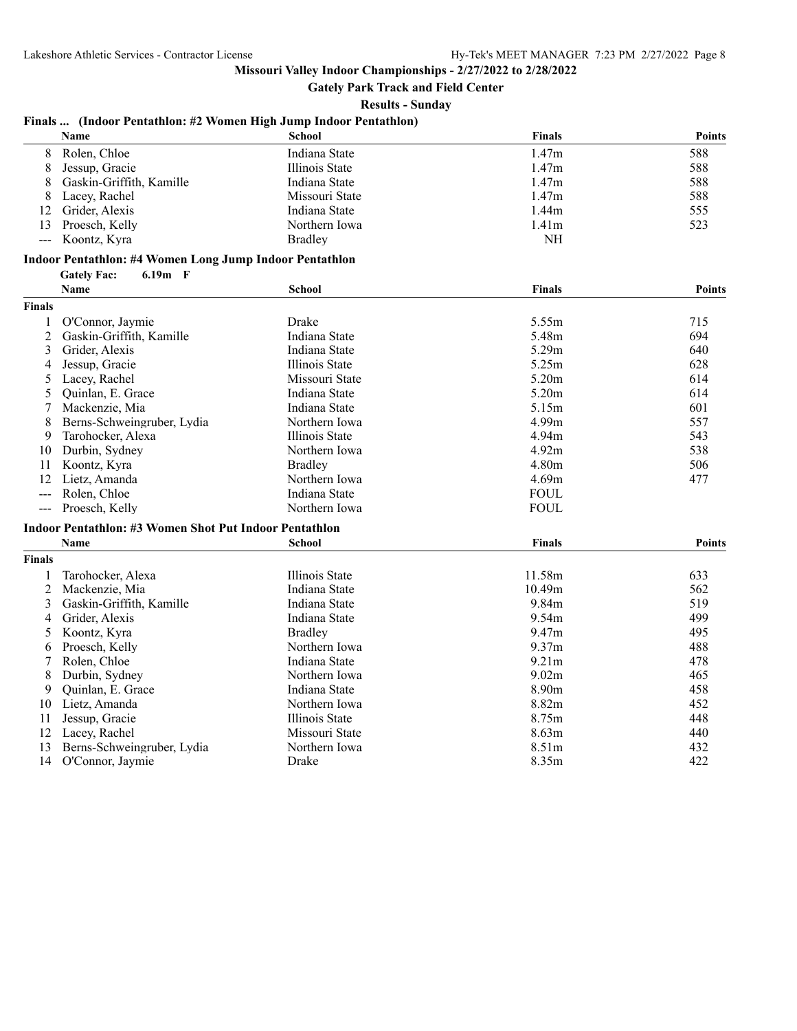**Gately Park Track and Field Center**

**Results - Sunday**

## **Finals ... (Indoor Pentathlon: #2 Women High Jump Indoor Pentathlon)**

|    | <b>Name</b>              | School         | <b>Finals</b>     | <b>Points</b> |
|----|--------------------------|----------------|-------------------|---------------|
| 8. | Rolen. Chloe             | Indiana State  | 1.47 <sub>m</sub> | 588           |
| 8  | Jessup, Gracie           | Illinois State | 1.47 <sub>m</sub> | 588           |
| 8  | Gaskin-Griffith, Kamille | Indiana State  | 1.47 <sub>m</sub> | 588           |
| 8. | Lacey, Rachel            | Missouri State | 1.47 <sub>m</sub> | 588           |
|    | 12 Grider, Alexis        | Indiana State  | 1.44 <sub>m</sub> | 555           |
|    | 13 Proesch, Kelly        | Northern Iowa  | 1.41 <sub>m</sub> | 523           |
|    | --- Koontz, Kyra         | <b>Bradley</b> | NH                |               |

#### **Indoor Pentathlon: #4 Women Long Jump Indoor Pentathlon**

**Gately Fac: 6.19m F**

|                      | <b>Name</b>                                            | <b>School</b>         | <b>Finals</b>     | <b>Points</b> |
|----------------------|--------------------------------------------------------|-----------------------|-------------------|---------------|
| <b>Finals</b>        |                                                        |                       |                   |               |
|                      | O'Connor, Jaymie                                       | Drake                 | 5.55m             | 715           |
| $\overline{c}$       | Gaskin-Griffith, Kamille                               | Indiana State         | 5.48m             | 694           |
| 3                    | Grider, Alexis                                         | Indiana State         | 5.29m             | 640           |
| 4                    | Jessup, Gracie                                         | <b>Illinois State</b> | 5.25m             | 628           |
| 5                    | Lacey, Rachel                                          | Missouri State        | 5.20 <sub>m</sub> | 614           |
| 5                    | Quinlan, E. Grace                                      | Indiana State         | 5.20m             | 614           |
| 7                    | Mackenzie, Mia                                         | Indiana State         | 5.15m             | 601           |
| 8                    | Berns-Schweingruber, Lydia                             | Northern Iowa         | 4.99m             | 557           |
| 9                    | Tarohocker, Alexa                                      | Illinois State        | 4.94m             | 543           |
| 10                   | Durbin, Sydney                                         | Northern Iowa         | 4.92m             | 538           |
| 11                   | Koontz, Kyra                                           | <b>Bradley</b>        | 4.80m             | 506           |
| 12                   | Lietz, Amanda                                          | Northern Iowa         | 4.69m             | 477           |
| $\qquad \qquad - -$  | Rolen. Chloe                                           | Indiana State         | <b>FOUL</b>       |               |
| $\sim$ $\sim$ $\sim$ | Proesch, Kelly                                         | Northern Iowa         | <b>FOUL</b>       |               |
|                      | Indoor Pentathlon: #3 Women Shot Put Indoor Pentathlon |                       |                   |               |
|                      | Name                                                   | <b>School</b>         | <b>Finals</b>     | <b>Points</b> |
| <b>Finals</b>        |                                                        |                       |                   |               |
|                      | Tarohocker, Alexa                                      | <b>Illinois State</b> | 11.58m            | 633           |
| 2                    | Mackenzie, Mia                                         | Indiana State         | 10.49m            | 562           |
| 3                    | Gaskin-Griffith, Kamille                               | Indiana State         | 9.84m             | 519           |
| 4                    | Grider, Alexis                                         | Indiana State         | 9.54m             | 499           |
| 5                    | Koontz, Kyra                                           | <b>Bradley</b>        | 9.47m             | 495           |
| 6                    | Proesch, Kelly                                         | Northern Iowa         | 9.37 <sub>m</sub> | 488           |
| 7                    | Rolen, Chloe                                           | Indiana State         | 9.21 <sub>m</sub> | 478           |
| 8                    | Durbin, Sydney                                         | Northern Iowa         | 9.02m             | 465           |
| 9                    | Quinlan, E. Grace                                      | Indiana State         | 8.90 <sub>m</sub> | 458           |
| 10                   | Lietz, Amanda                                          | Northern Iowa         | 8.82m             | 452           |
| 11                   | Jessup, Gracie                                         | <b>Illinois State</b> | 8.75m             | 448           |
| 12                   | Lacey, Rachel                                          | Missouri State        | 8.63 <sub>m</sub> | 440           |
| 13                   | Berns-Schweingruber, Lydia                             | Northern Iowa         | 8.51m             | 432           |
| 14                   | O'Connor, Jaymie                                       | Drake                 | 8.35m             | 422           |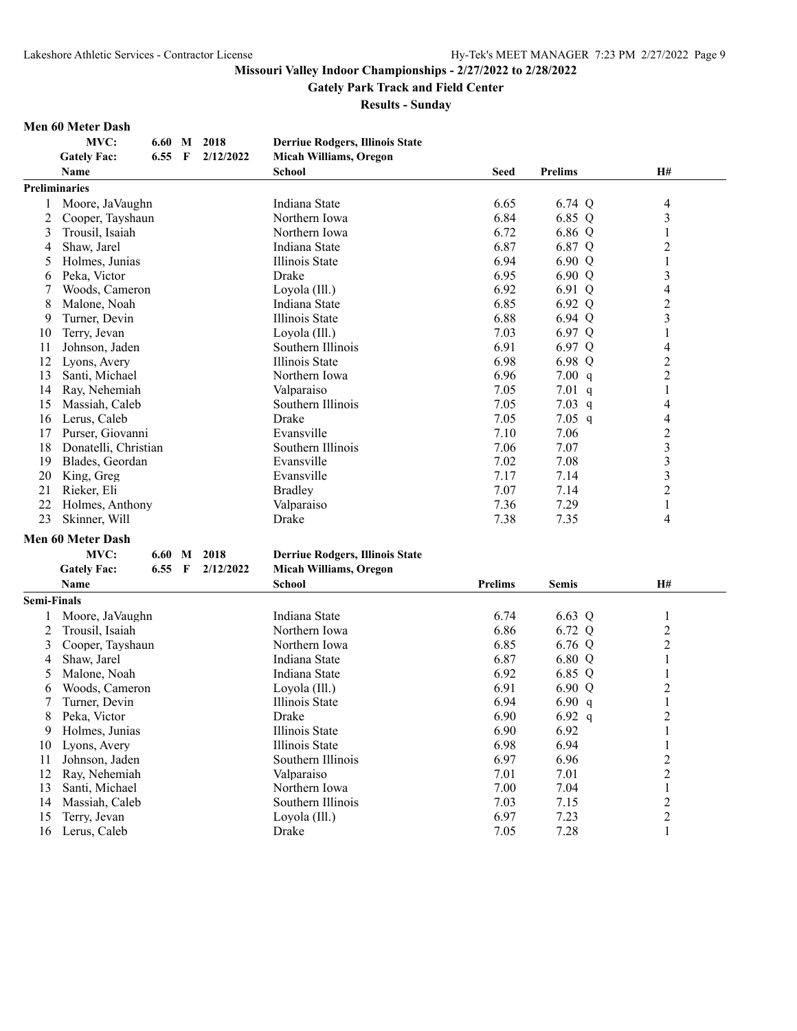#### **Gately Park Track and Field Center**

**Results - Sunday**

#### **Men 60 Meter Dash**

|                | Men 60 Meter Dash        |        |              |             |                                        |                |                |                         |
|----------------|--------------------------|--------|--------------|-------------|----------------------------------------|----------------|----------------|-------------------------|
|                | MVC:                     | 6.60   |              | M 2018      | <b>Derriue Rodgers, Illinois State</b> |                |                |                         |
|                | <b>Gately Fac:</b>       | 6.55   | $\mathbf{F}$ | 2/12/2022   | <b>Micah Williams, Oregon</b>          |                |                |                         |
|                | <b>Name</b>              |        |              |             | School                                 | <b>Seed</b>    | <b>Prelims</b> | H#                      |
|                | <b>Preliminaries</b>     |        |              |             |                                        |                |                |                         |
| 1              | Moore, JaVaughn          |        |              |             | Indiana State                          | 6.65           | 6.74 Q         | 4                       |
| 2              | Cooper, Tayshaun         |        |              |             | Northern Iowa                          | 6.84           | 6.85 Q         | 3                       |
| 3              | Trousil, Isaiah          |        |              |             | Northern Iowa                          | 6.72           | 6.86 Q         | 1                       |
| $\overline{4}$ | Shaw, Jarel              |        |              |             | Indiana State                          | 6.87           | 6.87 Q         | $\overline{c}$          |
| 5              | Holmes, Junias           |        |              |             | Illinois State                         | 6.94           | 6.90 Q         | 1                       |
| 6              | Peka, Victor             |        |              |             | Drake                                  | 6.95           | 6.90 Q         | 3                       |
| 7              | Woods, Cameron           |        |              |             | Loyola (Ill.)                          | 6.92           | 6.91 Q         | 4                       |
| 8              | Malone, Noah             |        |              |             | Indiana State                          | 6.85           | 6.92 Q         | $\overline{c}$          |
| 9              | Turner, Devin            |        |              |             | Illinois State                         | 6.88           | 6.94 Q         | 3                       |
| 10             | Terry, Jevan             |        |              |             | Loyola (Ill.)                          | 7.03           | 6.97 Q         | 1                       |
| 11             | Johnson, Jaden           |        |              |             | Southern Illinois                      | 6.91           | 6.97 Q         | 4                       |
| 12             | Lyons, Avery             |        |              |             | Illinois State                         | 6.98           | 6.98 Q         | $\overline{c}$          |
| 13             | Santi, Michael           |        |              |             | Northern Iowa                          | 6.96           | 7.00 q         | $\overline{c}$          |
| 14             | Ray, Nehemiah            |        |              |             | Valparaiso                             | 7.05           | $7.01$ q       | 1                       |
| 15             | Massiah, Caleb           |        |              |             | Southern Illinois                      | 7.05           | $7.03$ q       | 4                       |
| 16             | Lerus, Caleb             |        |              |             | Drake                                  | 7.05           | $7.05$ q       | 4                       |
| 17             | Purser, Giovanni         |        |              |             | Evansville                             | 7.10           | 7.06           | $\overline{c}$          |
| 18             | Donatelli, Christian     |        |              |             | Southern Illinois                      | 7.06           | 7.07           | 3                       |
| 19             | Blades, Geordan          |        |              |             | Evansville                             | 7.02           | 7.08           | $\overline{\mathbf{3}}$ |
| 20             | King, Greg               |        |              |             | Evansville                             | 7.17           | 7.14           | $\overline{\mathbf{3}}$ |
| 21             | Rieker, Eli              |        |              |             | <b>Bradley</b>                         | 7.07           | 7.14           | $\overline{c}$          |
| 22             | Holmes, Anthony          |        |              |             | Valparaiso                             | 7.36           | 7.29           | 1                       |
| 23             | Skinner, Will            |        |              |             | Drake                                  | 7.38           | 7.35           | 4                       |
|                | <b>Men 60 Meter Dash</b> |        |              |             |                                        |                |                |                         |
|                | MVC:                     |        |              | 6.60 M 2018 | <b>Derriue Rodgers, Illinois State</b> |                |                |                         |
|                | <b>Gately Fac:</b>       | 6.55 F |              | 2/12/2022   | <b>Micah Williams, Oregon</b>          |                |                |                         |
|                | <b>Name</b>              |        |              |             | <b>School</b>                          | <b>Prelims</b> | <b>Semis</b>   | H#                      |
| Semi-Finals    |                          |        |              |             |                                        |                |                |                         |
| 1              | Moore, JaVaughn          |        |              |             | Indiana State                          | 6.74           | 6.63 Q         | 1                       |
| 2              | Trousil, Isaiah          |        |              |             | Northern Iowa                          | 6.86           | 6.72 Q         | $\overline{\mathbf{c}}$ |
| 3              | Cooper, Tayshaun         |        |              |             | Northern Iowa                          | 6.85           | 6.76 Q         | $\overline{c}$          |
| 4              | Shaw, Jarel              |        |              |             | Indiana State                          | 6.87           | 6.80 Q         | 1                       |
| 5              | Malone, Noah             |        |              |             | Indiana State                          | 6.92           | 6.85 Q         | 1                       |
| 6              | Woods, Cameron           |        |              |             | Loyola (Ill.)                          | 6.91           | 6.90 Q         | 2                       |
| 7              | Turner, Devin            |        |              |             | Illinois State                         | 6.94           | 6.90 $q$       | 1                       |
| 8              | Peka, Victor             |        |              |             | Drake                                  | 6.90           | 6.92 $q$       | $\overline{2}$          |
| 9              | Holmes, Junias           |        |              |             | Illinois State                         | 6.90           | 6.92           | 1                       |

Holmes, Junias Illinois State 6.90 6.92 1

10 Lyons, Avery Illinois State 6.98 6.94 1<br>
11 Johnson, Jaden Southern Illinois 6.97 6.96 2<br>
12 Ray, Nehemiah Valparaiso 7.01 7.01 2<br>
13 Santi, Michael Northern Iowa 7.00 7.04 1

13 Santi, Michael 14 Northern Iowa 12.00 7.04 1<br>14 Massiah, Caleb 14 Southern Illinois 7.03 7.15 2 14 Massiah, Caleb Southern Illinois 7.03 7.15 2<br>15 Terry, Jevan Loyola (III.) 6.97 7.23 2 15 Terry, Jevan Loyola (Ill.) 6.97 7.23 2<br>16 Lerus, Caleb Drake 7.05 7.28 1

11 Johnson, Jaden Southern Illinois 6.97

12 Ray, Nehemiah Valparaiso 7.01 7.01<br>13 Santi, Michael Northern Iowa 7.00 7.04

Lerus, Caleb Drake 7.05 7.28 1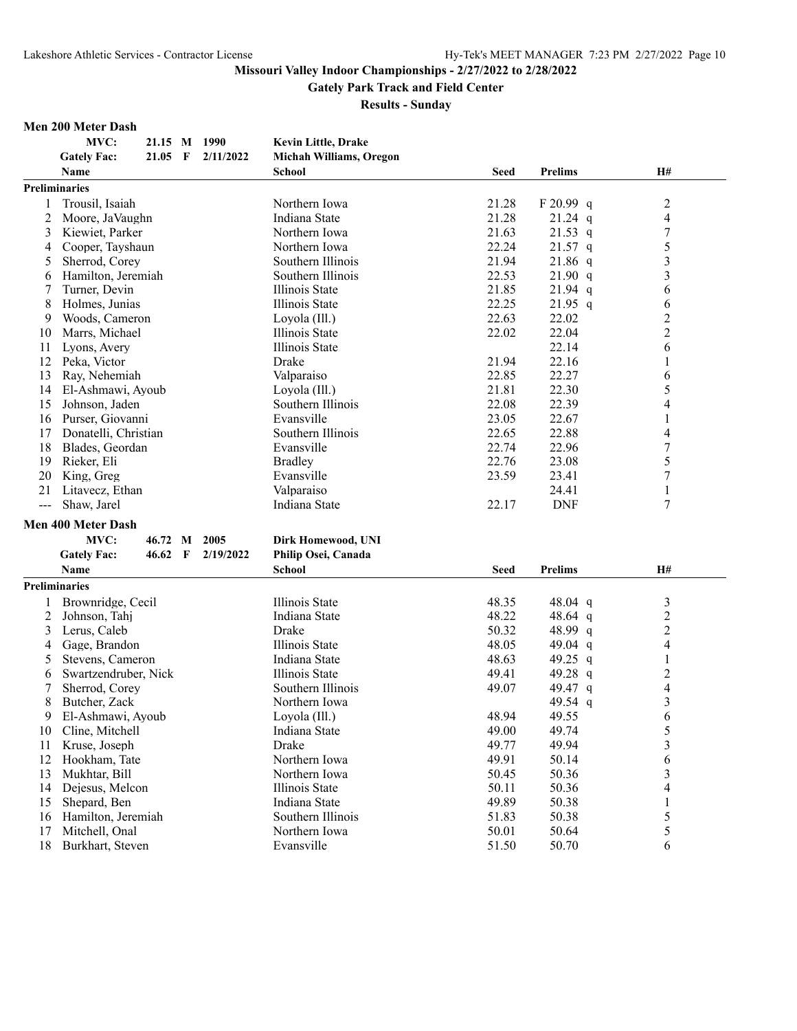**Gately Park Track and Field Center**

**Results - Sunday**

#### **Men 200 Meter Dash**

**MVC: 21.15 M 1990 Kevin Little, Drake Gately Fac: 21.05 F 2/11/2022 Michah Williams, Oregon Name School Seed Prelims H# Preliminaries** 1 Trousil, Isaiah Northern Iowa 21.28 F 20.99 q 2 2 Moore, JaVaughn Indiana State 21.28 21.24 q 4<br>21.63 21.53 q 7 3 Kiewiet, Parker Northern Iowa 21.63 21.53 q 7 4 Cooper, Tayshaun Northern Iowa 22.24 21.57 q 5 5 Sherrod, Corey Southern Illinois 21.94 21.86 q 3 6 Hamilton, Jeremiah Southern Illinois 122.53 21.90 q 3<br>
7 Turner. Devin Illinois State 21.85 21.94 q 6 7 Turner, Devin **Illinois State** 21.85 21.94 q 6 8 Holmes, Junias Illinois State 22.25 21.95 q 6 9 Woods, Cameron Loyola (Ill.) 22.63 22.02 2<br>
0 Marrs, Michael 20 111 111 1111 11111 22.02 22.04 2 10 Marrs, Michael Illinois State 22.02 22.04 11 Lyons, Avery 11 Lyons, Avery 11 Lyons, 22.14 6 12 Peka, Victor Drake 21.94 22.16 1 13 Ray, Nehemiah Valparaiso 22.85 22.27 6 14 El-Ashmawi, Ayoub Loyola (Ill.) 21.81 22.30 5 15 Johnson, Jaden Southern Illinois 22.08 22.39 4 16 Purser, Giovanni **Evansville** 23.05 22.67 1 17 Donatelli, Christian Southern Illinois 22.65 22.88 4 18 Blades, Geordan Evansville 22.74 22.96 7 19 Rieker, Eli Bradley 22.76 23.08 5 20 King, Greg **Evansville** 23.59 23.41 7 21 Litavecz, Ethan 1 Valparaiso 24.41 1 1<br>
21 New Jackson 24.41 1 22.17 DNF 7 -- Shaw, Jarel 1988 (Indiana State 22.17 DNF 7 **Men 400 Meter Dash MVC: 46.72 M 2005 Dirk Homewood, UNI Gately Fac: 46.62 F 2/19/2022 Philip Osei, Canada**

|    | Gaitly Late<br>T<br>$\frac{1}{2}$ | т ппр Оэси Сапача |             |                |    |
|----|-----------------------------------|-------------------|-------------|----------------|----|
|    | Name                              | School            | <b>Seed</b> | <b>Prelims</b> | H# |
|    | Preliminaries                     |                   |             |                |    |
|    | Brownridge, Cecil                 | Illinois State    | 48.35       | 48.04 q        | 3  |
|    | Johnson, Tahj                     | Indiana State     | 48.22       | 48.64 q        | 2  |
| 3  | Lerus, Caleb                      | Drake             | 50.32       | 48.99 q        | 2  |
| 4  | Gage, Brandon                     | Illinois State    | 48.05       | 49.04 q        | 4  |
| 5  | Stevens, Cameron                  | Indiana State     | 48.63       | 49.25 q        |    |
| 6  | Swartzendruber, Nick              | Illinois State    | 49.41       | 49.28 q        | 2  |
|    | Sherrod, Corey                    | Southern Illinois | 49.07       | 49.47 q        | 4  |
| 8  | Butcher, Zack                     | Northern Iowa     |             | 49.54 q        | 3  |
| 9  | El-Ashmawi, Ayoub                 | Loyola (Ill.)     | 48.94       | 49.55          | 6  |
| 10 | Cline, Mitchell                   | Indiana State     | 49.00       | 49.74          | 5  |
| 11 | Kruse, Joseph                     | Drake             | 49.77       | 49.94          | 3  |
| 12 | Hookham, Tate                     | Northern Iowa     | 49.91       | 50.14          | 6  |
| 13 | Mukhtar, Bill                     | Northern Iowa     | 50.45       | 50.36          | 3  |
| 14 | Dejesus, Melcon                   | Illinois State    | 50.11       | 50.36          | 4  |
| 15 | Shepard, Ben                      | Indiana State     | 49.89       | 50.38          |    |
| 16 | Hamilton, Jeremiah                | Southern Illinois | 51.83       | 50.38          |    |
| 17 | Mitchell, Onal                    | Northern Iowa     | 50.01       | 50.64          | 5  |
| 18 | Burkhart, Steven                  | Evansville        | 51.50       | 50.70          | 6  |
|    |                                   |                   |             |                |    |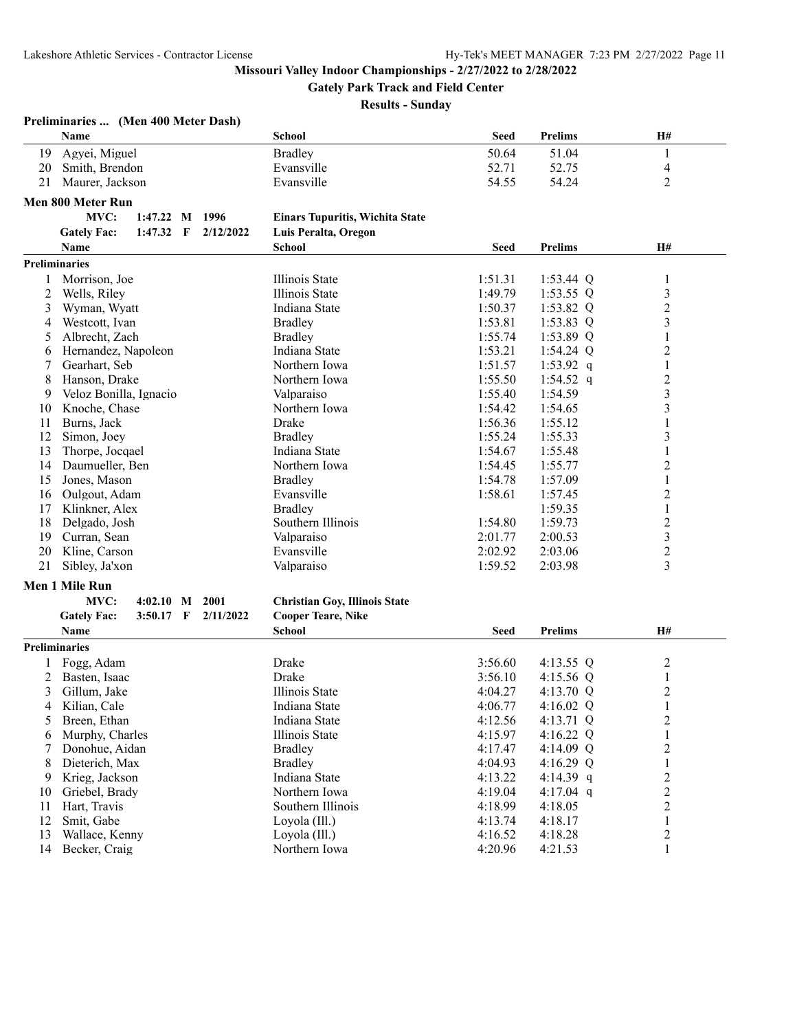**Gately Park Track and Field Center**

|                | Preliminaries  (Men 400 Meter Dash)            |                                        |             |                |                          |
|----------------|------------------------------------------------|----------------------------------------|-------------|----------------|--------------------------|
|                | Name                                           | School                                 | <b>Seed</b> | <b>Prelims</b> | H#                       |
| 19             | Agyei, Miguel                                  | <b>Bradley</b>                         | 50.64       | 51.04          | $\mathbf{1}$             |
| 20             | Smith, Brendon                                 | Evansville                             | 52.71       | 52.75          | $\overline{\mathcal{A}}$ |
| 21             | Maurer, Jackson                                | Evansville                             | 54.55       | 54.24          | 2                        |
|                | Men 800 Meter Run                              |                                        |             |                |                          |
|                | MVC:<br>1:47.22 M 1996                         |                                        |             |                |                          |
|                |                                                | <b>Einars Tupuritis, Wichita State</b> |             |                |                          |
|                | <b>Gately Fac:</b><br>$1:47.32$ F<br>2/12/2022 | Luis Peralta, Oregon                   |             |                |                          |
|                | Name                                           | <b>School</b>                          | <b>Seed</b> | <b>Prelims</b> | H#                       |
|                | Preliminaries                                  |                                        |             |                |                          |
| 1              | Morrison, Joe                                  | Illinois State                         | 1:51.31     | $1:53.44$ Q    | $\mathbf{1}$             |
| $\overline{c}$ | Wells, Riley                                   | Illinois State                         | 1:49.79     | 1:53.55 $Q$    | $\mathfrak{Z}$           |
| 3              | Wyman, Wyatt                                   | Indiana State                          | 1:50.37     | 1:53.82 $Q$    | $\overline{c}$           |
| 4              | Westcott, Ivan                                 | <b>Bradley</b>                         | 1:53.81     | $1:53.83$ Q    | 3                        |
| 5              | Albrecht, Zach                                 | <b>Bradley</b>                         | 1:55.74     | $1:53.89$ Q    | 1                        |
| 6              | Hernandez, Napoleon                            | Indiana State                          | 1:53.21     | $1:54.24$ Q    | $\boldsymbol{2}$         |
| 7              | Gearhart, Seb                                  | Northern Iowa                          | 1:51.57     | 1:53.92 $q$    | $\,1$                    |
| 8              | Hanson, Drake                                  | Northern Iowa                          | 1:55.50     | 1:54.52 q      | $\overline{c}$           |
| 9              | Veloz Bonilla, Ignacio                         | Valparaiso                             | 1:55.40     | 1:54.59        | 3                        |
| 10             | Knoche, Chase                                  | Northern Iowa                          | 1:54.42     | 1:54.65        | 3                        |
| 11             | Burns, Jack                                    | Drake                                  | 1:56.36     | 1:55.12        | 1                        |
| 12             | Simon, Joey                                    | <b>Bradley</b>                         | 1:55.24     | 1:55.33        | 3                        |
| 13             | Thorpe, Jocqael                                | Indiana State                          | 1:54.67     | 1:55.48        | $\mathbf{1}$             |
| 14             | Daumueller, Ben                                | Northern Iowa                          | 1:54.45     | 1:55.77        | $\overline{c}$           |
| 15             | Jones, Mason                                   | <b>Bradley</b>                         | 1:54.78     | 1:57.09        | $\mathbf{1}$             |
| 16             | Oulgout, Adam                                  | Evansville                             | 1:58.61     | 1:57.45        | 2                        |
| 17             | Klinkner, Alex                                 | <b>Bradley</b>                         |             | 1:59.35        | 1                        |
| 18             | Delgado, Josh                                  | Southern Illinois                      | 1:54.80     | 1:59.73        | $\boldsymbol{2}$         |
| 19             | Curran, Sean                                   | Valparaiso                             | 2:01.77     | 2:00.53        | $\mathfrak{Z}$           |
| 20             | Kline, Carson                                  | Evansville                             | 2:02.92     | 2:03.06        | $\overline{c}$           |
| 21             | Sibley, Ja'xon                                 | Valparaiso                             | 1:59.52     | 2:03.98        | 3                        |
|                | Men 1 Mile Run                                 |                                        |             |                |                          |
|                | MVC:<br>4:02.10<br>M 2001                      | <b>Christian Goy, Illinois State</b>   |             |                |                          |
|                | <b>Gately Fac:</b><br>$3:50.17$ F<br>2/11/2022 | <b>Cooper Teare, Nike</b>              |             |                |                          |
|                | Name                                           | School                                 | <b>Seed</b> | <b>Prelims</b> | H#                       |
|                | <b>Preliminaries</b>                           |                                        |             |                |                          |
|                | Fogg, Adam                                     | Drake                                  | 3:56.60     | 4:13.55 Q      | $\overline{c}$           |
| 2              | Basten, Isaac                                  | Drake                                  | 3:56.10     | 4:15.56 Q      | $\mathbf{1}$             |
|                |                                                |                                        |             |                |                          |
| 3              | Gillum, Jake<br>Kilian, Cale                   | Illinois State                         | 4:04.27     | 4:13.70 $Q$    | $\overline{c}$           |
| 4              |                                                | Indiana State                          | 4:06.77     | 4:16.02 Q      | 1                        |
| 5              | Breen, Ethan                                   | Indiana State                          | 4:12.56     | 4:13.71 Q      | $\overline{c}$           |
| 6              | Murphy, Charles                                | Illinois State                         | 4:15.97     | 4:16.22 $Q$    | $\,1$                    |
| 7              | Donohue, Aidan                                 | <b>Bradley</b>                         | 4:17.47     | 4:14.09 $Q$    | $\boldsymbol{2}$         |
| 8              | Dieterich, Max                                 | <b>Bradley</b>                         | 4:04.93     | 4:16.29 $Q$    | $\mathbf{1}$             |
| 9              | Krieg, Jackson                                 | Indiana State                          | 4:13.22     | 4:14.39 $q$    | $\overline{c}$           |
| 10             | Griebel, Brady                                 | Northern Iowa                          | 4:19.04     | 4:17.04 $q$    | $\overline{c}$           |
| 11             | Hart, Travis                                   | Southern Illinois                      | 4:18.99     | 4:18.05        | $\overline{c}$           |
| 12             | Smit, Gabe                                     | Loyola (Ill.)                          | 4:13.74     | 4:18.17        | $\mathbf{1}$             |
| 13             | Wallace, Kenny                                 | Loyola (Ill.)                          | 4:16.52     | 4:18.28        | $\overline{c}$           |
|                | 14 Becker, Craig                               | Northern Iowa                          | 4:20.96     | 4:21.53        | $\mathbf{1}$             |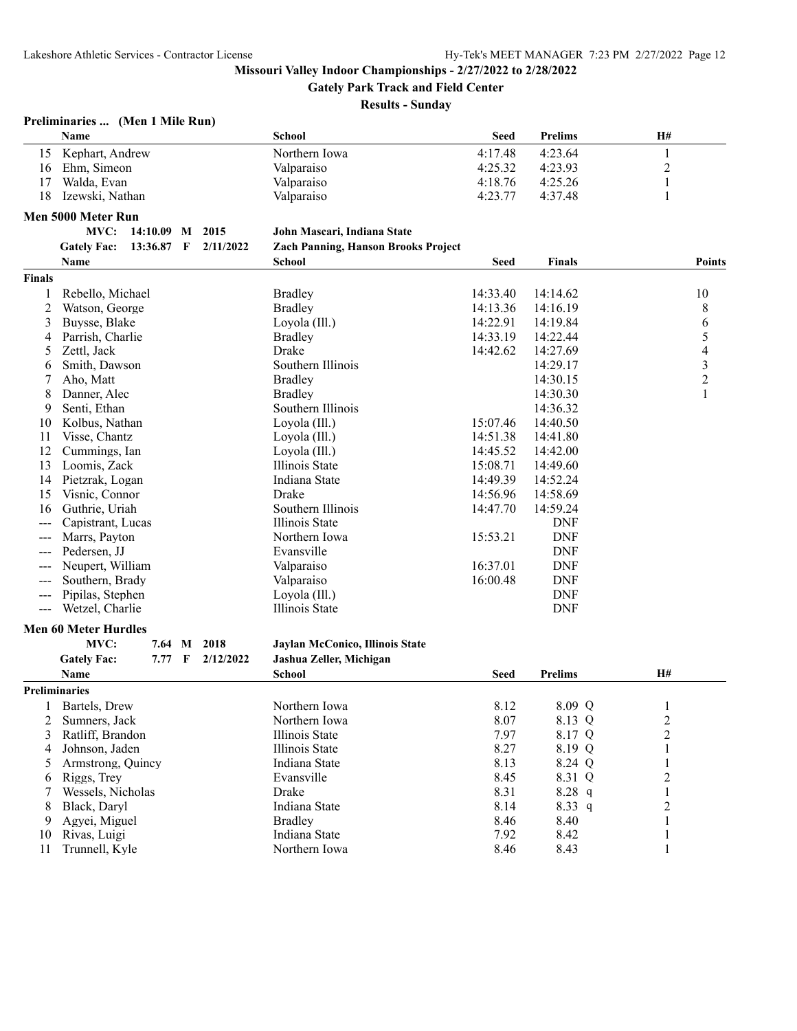**Gately Park Track and Field Center**

| Preliminaries  (Men 1 Mile Run) |  |  |  |
|---------------------------------|--|--|--|
|---------------------------------|--|--|--|

|                | Name                           |                          |             |           | <b>School</b>                              | <b>Seed</b> | <b>Prelims</b> | H#                      |                          |
|----------------|--------------------------------|--------------------------|-------------|-----------|--------------------------------------------|-------------|----------------|-------------------------|--------------------------|
| 15             | Kephart, Andrew                |                          |             |           | Northern Iowa                              | 4:17.48     | 4:23.64        | 1                       |                          |
| 16             | Ehm, Simeon                    |                          |             |           | Valparaiso                                 | 4:25.32     | 4:23.93        | $\overline{\mathbf{c}}$ |                          |
| 17             | Walda, Evan                    |                          |             |           | Valparaiso                                 | 4:18.76     | 4:25.26        | 1                       |                          |
| 18             | Izewski, Nathan                |                          |             |           | Valparaiso                                 | 4:23.77     | 4:37.48        | 1                       |                          |
|                | Men 5000 Meter Run             |                          |             |           |                                            |             |                |                         |                          |
|                | MVC:                           |                          |             | 2015      |                                            |             |                |                         |                          |
|                |                                | 14:10.09 M<br>13:36.87 F |             |           | John Mascari, Indiana State                |             |                |                         |                          |
|                | <b>Gately Fac:</b>             |                          |             | 2/11/2022 | <b>Zach Panning, Hanson Brooks Project</b> |             |                |                         |                          |
|                | Name                           |                          |             |           | <b>School</b>                              | <b>Seed</b> | <b>Finals</b>  |                         | <b>Points</b>            |
| <b>Finals</b>  |                                |                          |             |           |                                            |             |                |                         |                          |
| 1              | Rebello, Michael               |                          |             |           | <b>Bradley</b>                             | 14:33.40    | 14:14.62       |                         | 10                       |
| $\overline{c}$ | Watson, George                 |                          |             |           | <b>Bradley</b>                             | 14:13.36    | 14:16.19       |                         | 8                        |
| 3              | Buysse, Blake                  |                          |             |           | Loyola (Ill.)                              | 14:22.91    | 14:19.84       |                         | 6                        |
| 4              | Parrish, Charlie               |                          |             |           | <b>Bradley</b>                             | 14:33.19    | 14:22.44       |                         | 5                        |
| 5              | Zettl, Jack                    |                          |             |           | Drake                                      | 14:42.62    | 14:27.69       |                         | $\overline{\mathcal{A}}$ |
| 6              | Smith, Dawson                  |                          |             |           | Southern Illinois                          |             | 14:29.17       |                         | $\mathfrak{Z}$           |
| 7              | Aho, Matt                      |                          |             |           | <b>Bradley</b>                             |             | 14:30.15       |                         | $\overline{c}$           |
| 8              | Danner, Alec                   |                          |             |           | <b>Bradley</b>                             |             | 14:30.30       |                         | $\mathbf{1}$             |
| 9              | Senti, Ethan                   |                          |             |           | Southern Illinois                          |             | 14:36.32       |                         |                          |
| 10             | Kolbus, Nathan                 |                          |             |           | Loyola (Ill.)                              | 15:07.46    | 14:40.50       |                         |                          |
| 11             | Visse, Chantz                  |                          |             |           | Loyola (Ill.)                              | 14:51.38    | 14:41.80       |                         |                          |
| 12             | Cummings, Ian                  |                          |             |           | Loyola (Ill.)                              | 14:45.52    | 14:42.00       |                         |                          |
| 13             | Loomis, Zack                   |                          |             |           | Illinois State                             | 15:08.71    | 14:49.60       |                         |                          |
| 14             | Pietzrak, Logan                |                          |             |           | Indiana State                              | 14:49.39    | 14:52.24       |                         |                          |
| 15             | Visnic, Connor                 |                          |             |           | Drake                                      | 14:56.96    | 14:58.69       |                         |                          |
| 16             | Guthrie, Uriah                 |                          |             |           | Southern Illinois                          | 14:47.70    | 14:59.24       |                         |                          |
| ---            | Capistrant, Lucas              |                          |             |           | Illinois State                             |             | <b>DNF</b>     |                         |                          |
|                | Marrs, Payton                  |                          |             |           | Northern Iowa                              | 15:53.21    | <b>DNF</b>     |                         |                          |
| ---            | Pedersen, JJ                   |                          |             |           | Evansville                                 |             | <b>DNF</b>     |                         |                          |
|                | Neupert, William               |                          |             |           | Valparaiso                                 | 16:37.01    | <b>DNF</b>     |                         |                          |
| ---            | Southern, Brady                |                          |             |           | Valparaiso                                 | 16:00.48    | <b>DNF</b>     |                         |                          |
| ---            | Pipilas, Stephen               |                          |             |           | Loyola (Ill.)                              |             | <b>DNF</b>     |                         |                          |
| $--$           | Wetzel, Charlie                |                          |             |           | Illinois State                             |             | <b>DNF</b>     |                         |                          |
|                | <b>Men 60 Meter Hurdles</b>    |                          |             |           |                                            |             |                |                         |                          |
|                | MVC:                           | 7.64 M                   |             | 2018      | Jaylan McConico, Illinois State            |             |                |                         |                          |
|                | <b>Gately Fac:</b>             | 7.77                     | $\mathbf F$ | 2/12/2022 | Jashua Zeller, Michigan                    |             |                |                         |                          |
|                | Name                           |                          |             |           | <b>School</b>                              | Seed        | <b>Prelims</b> | H#                      |                          |
|                | <b>Preliminaries</b>           |                          |             |           |                                            |             |                |                         |                          |
|                |                                |                          |             |           | Northern Iowa                              |             |                |                         |                          |
| $\mathbf{1}$   | Bartels, Drew<br>Sumners, Jack |                          |             |           | Northern Iowa                              | 8.12        | 8.09 Q         | 1                       |                          |
| 2              | Ratliff, Brandon               |                          |             |           | Illinois State                             | 8.07        | 8.13 Q         | 2                       |                          |
| 3              |                                |                          |             |           | Illinois State                             | 7.97        | 8.17 Q         | $\overline{c}$          |                          |
| 4              | Johnson, Jaden                 |                          |             |           |                                            | 8.27        | 8.19 Q         | $\mathbf{1}$            |                          |
| 5              | Armstrong, Quincy              |                          |             |           | Indiana State                              | 8.13        | 8.24 Q         | 1                       |                          |
| 6              | Riggs, Trey                    |                          |             |           | Evansville<br>Drake                        | 8.45        | 8.31 Q         | $\overline{c}$          |                          |
| 7              | Wessels, Nicholas              |                          |             |           |                                            | 8.31        | $8.28$ q       | 1                       |                          |
| 8              | Black, Daryl                   |                          |             |           | Indiana State                              | 8.14        | 8.33 q         | $\overline{c}$          |                          |
| 9              | Agyei, Miguel                  |                          |             |           | <b>Bradley</b>                             | 8.46        | 8.40           | 1                       |                          |
| 10             | Rivas, Luigi                   |                          |             |           | Indiana State                              | 7.92        | 8.42           | 1                       |                          |
| 11             | Trunnell, Kyle                 |                          |             |           | Northern Iowa                              | 8.46        | 8.43           | 1                       |                          |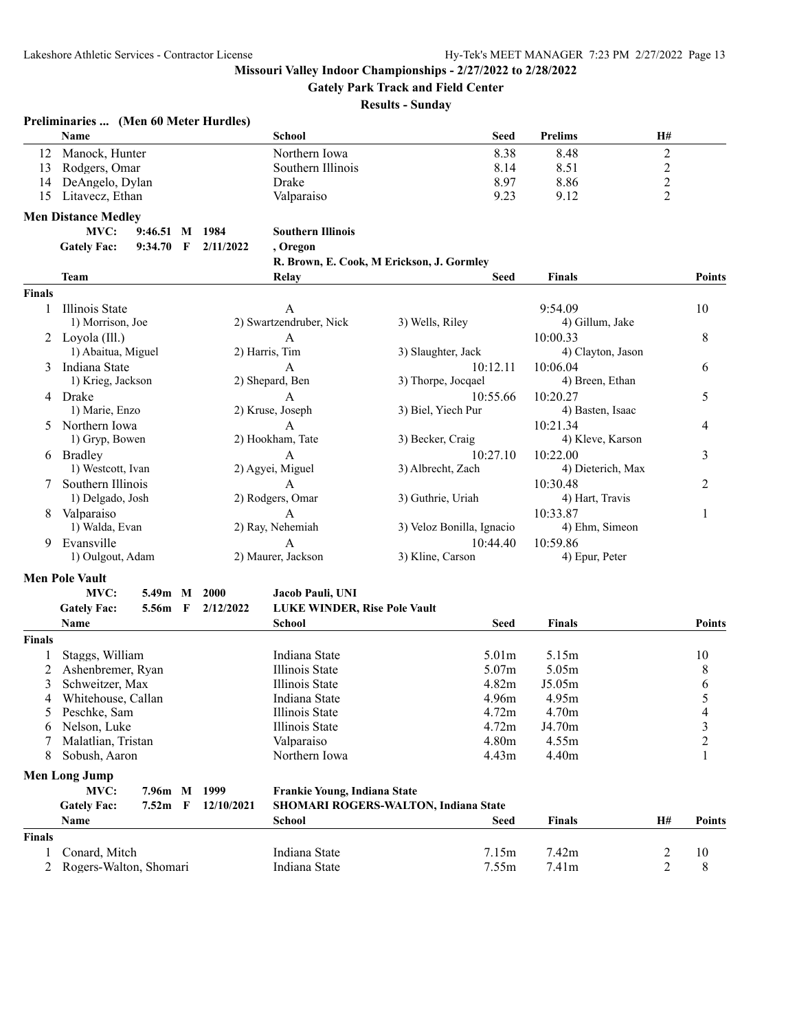**Gately Park Track and Field Center**

|               | Preliminaries  (Men 60 Meter Hurdles)<br>Name |                |            | <b>School</b>                       | <b>Seed</b>                                 | <b>Prelims</b>    | H#               |               |
|---------------|-----------------------------------------------|----------------|------------|-------------------------------------|---------------------------------------------|-------------------|------------------|---------------|
| 12            | Manock, Hunter                                |                |            | Northern Iowa                       | 8.38                                        | 8.48              | $\boldsymbol{2}$ |               |
| 13            | Rodgers, Omar                                 |                |            | Southern Illinois                   | 8.14                                        | 8.51              | $\overline{c}$   |               |
| 14            | DeAngelo, Dylan                               |                |            | Drake                               | 8.97                                        | 8.86              | $\overline{c}$   |               |
| 15            | Litavecz, Ethan                               |                |            | Valparaiso                          | 9.23                                        | 9.12              | 2                |               |
|               | <b>Men Distance Medley</b>                    |                |            |                                     |                                             |                   |                  |               |
|               | MVC:                                          | 9:46.51 M 1984 |            | <b>Southern Illinois</b>            |                                             |                   |                  |               |
|               | <b>Gately Fac:</b>                            | 9:34.70 F      | 2/11/2022  | , Oregon                            |                                             |                   |                  |               |
|               |                                               |                |            |                                     | R. Brown, E. Cook, M Erickson, J. Gormley   |                   |                  |               |
|               | Team                                          |                |            | Relay                               | <b>Seed</b>                                 | <b>Finals</b>     |                  | <b>Points</b> |
| <b>Finals</b> |                                               |                |            |                                     |                                             |                   |                  |               |
| 1             | Illinois State                                |                |            | A                                   |                                             | 9:54.09           |                  | 10            |
|               | 1) Morrison, Joe                              |                |            | 2) Swartzendruber, Nick             | 3) Wells, Riley                             | 4) Gillum, Jake   |                  |               |
|               | 2 Loyola $(III.)$                             |                |            | A                                   |                                             | 10:00.33          |                  | 8             |
|               | 1) Abaitua, Miguel                            |                |            | 2) Harris, Tim                      | 3) Slaughter, Jack                          | 4) Clayton, Jason |                  |               |
|               | 3 Indiana State                               |                |            | A                                   | 10:12.11                                    | 10:06.04          |                  | 6             |
|               | 1) Krieg, Jackson                             |                |            | 2) Shepard, Ben                     | 3) Thorpe, Jocqael                          | 4) Breen, Ethan   |                  |               |
|               | 4 Drake                                       |                |            | A                                   | 10:55.66                                    | 10:20.27          |                  | 5             |
|               | 1) Marie, Enzo                                |                |            | 2) Kruse, Joseph                    | 3) Biel, Yiech Pur                          | 4) Basten, Isaac  |                  |               |
| 5.            | Northern Iowa                                 |                |            | A                                   |                                             | 10:21.34          |                  | 4             |
|               | 1) Gryp, Bowen                                |                |            | 2) Hookham, Tate                    | 3) Becker, Craig                            | 4) Kleve, Karson  |                  |               |
|               | 6 Bradley                                     |                |            | A                                   | 10:27.10                                    | 10:22.00          |                  | 3             |
|               | 1) Westcott, Ivan                             |                |            | 2) Agyei, Miguel                    | 3) Albrecht, Zach                           | 4) Dieterich, Max |                  |               |
|               | Southern Illinois                             |                |            | A                                   |                                             | 10:30.48          |                  | 2             |
|               | 1) Delgado, Josh                              |                |            | 2) Rodgers, Omar                    | 3) Guthrie, Uriah                           | 4) Hart, Travis   |                  |               |
| 8             | Valparaiso                                    |                |            | A                                   |                                             | 10:33.87          |                  | 1             |
|               | 1) Walda, Evan                                |                |            | 2) Ray, Nehemiah                    | 3) Veloz Bonilla, Ignacio                   | 4) Ehm, Simeon    |                  |               |
| 9             | Evansville                                    |                |            | A                                   | 10:44.40                                    | 10:59.86          |                  |               |
|               | 1) Oulgout, Adam                              |                |            | 2) Maurer, Jackson                  | 3) Kline, Carson                            | 4) Epur, Peter    |                  |               |
|               | <b>Men Pole Vault</b>                         |                |            |                                     |                                             |                   |                  |               |
|               | MVC:                                          | 5.49m M 2000   |            | Jacob Pauli, UNI                    |                                             |                   |                  |               |
|               | <b>Gately Fac:</b>                            | 5.56m F        | 2/12/2022  | LUKE WINDER, Rise Pole Vault        |                                             |                   |                  |               |
|               | Name                                          |                |            | School                              | <b>Seed</b>                                 | <b>Finals</b>     |                  | <b>Points</b> |
| <b>Finals</b> |                                               |                |            |                                     |                                             |                   |                  |               |
| 1             | Staggs, William                               |                |            | Indiana State                       | 5.01 <sub>m</sub>                           | 5.15m             |                  | 10            |
| 2             | Ashenbremer, Ryan                             |                |            | <b>Illinois</b> State               | 5.07m                                       | 5.05m             |                  | 8             |
| 3             | Schweitzer, Max                               |                |            | Illinois State                      | 4.82m                                       | J5.05m            |                  | 6             |
|               | 4 Whitehouse, Callan                          |                |            | Indiana State                       | 4.96m                                       | 4.95m             |                  | 5             |
| 5             | Peschke, Sam                                  |                |            | Illinois State                      | 4.72m                                       | 4.70 <sub>m</sub> |                  | 4             |
|               | Nelson, Luke                                  |                |            | Illinois State                      | 4.72m                                       | J4.70m            |                  | 3             |
| 7             | Malatlian, Tristan                            |                |            | Valparaiso                          | 4.80m                                       | 4.55m             |                  | 2             |
| 8             | Sobush, Aaron                                 |                |            | Northern Iowa                       | 4.43m                                       | 4.40m             |                  | 1             |
|               | <b>Men Long Jump</b>                          |                |            |                                     |                                             |                   |                  |               |
|               | MVC:                                          | 7.96m M 1999   |            | <b>Frankie Young, Indiana State</b> |                                             |                   |                  |               |
|               | <b>Gately Fac:</b>                            | $7.52m$ F      | 12/10/2021 |                                     | <b>SHOMARI ROGERS-WALTON, Indiana State</b> |                   |                  |               |
|               | Name                                          |                |            | School                              | Seed                                        | <b>Finals</b>     | Н#               | <b>Points</b> |
| <b>Finals</b> |                                               |                |            |                                     |                                             |                   |                  |               |
| 1             | Conard, Mitch                                 |                |            | Indiana State                       | 7.15m                                       | 7.42m             | 2                | 10            |
| 2             | Rogers-Walton, Shomari                        |                |            | Indiana State                       | 7.55m                                       | 7.41m             | 2                | 8             |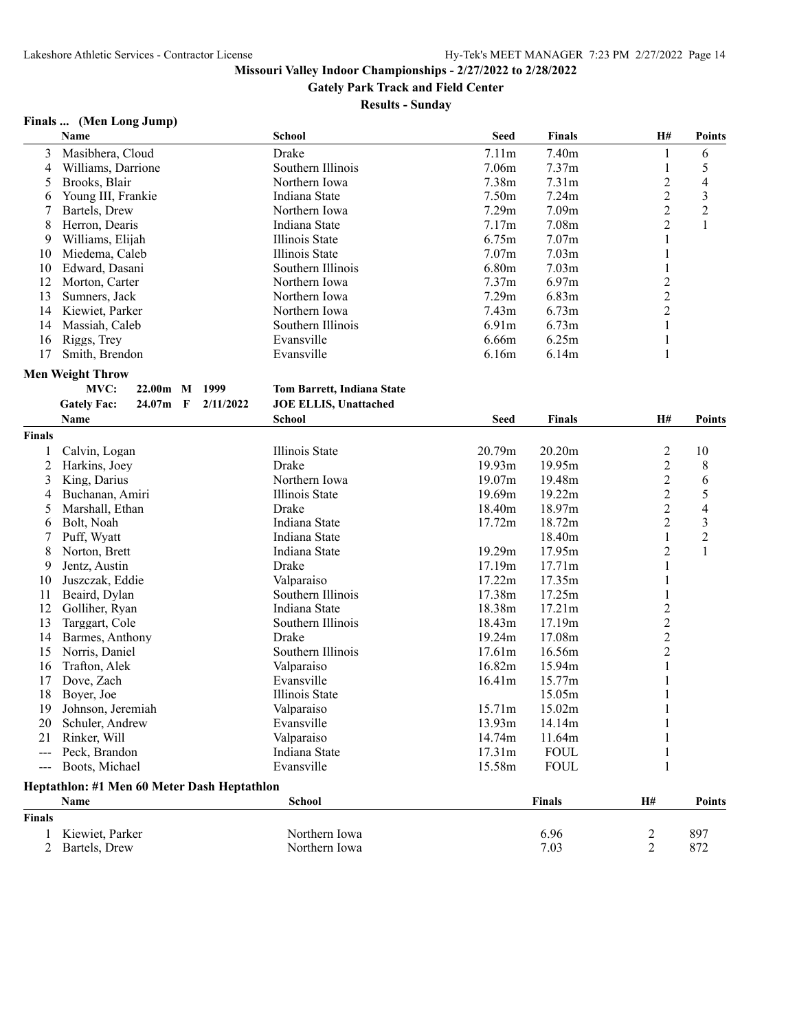**Gately Park Track and Field Center**

**Results - Sunday**

## **Finals ... (Men Long Jump)**

|                     | Name                                                     | <b>School</b>                | <b>Seed</b>       | <b>Finals</b>     | H#             | <b>Points</b>            |
|---------------------|----------------------------------------------------------|------------------------------|-------------------|-------------------|----------------|--------------------------|
| 3                   | Masibhera, Cloud                                         | Drake                        | 7.11m             | 7.40m             | 1              | 6                        |
| 4                   | Williams, Darrione                                       | Southern Illinois            | 7.06m             | 7.37m             | $\mathbf{1}$   | 5                        |
| 5                   | Brooks, Blair                                            | Northern Iowa                | 7.38m             | 7.31 <sub>m</sub> | $\overline{c}$ | $\overline{\mathcal{L}}$ |
| 6                   | Young III, Frankie                                       | Indiana State                | 7.50 <sub>m</sub> | 7.24m             | $\overline{2}$ | 3                        |
| 7                   | Bartels, Drew                                            | Northern Iowa                | 7.29m             | 7.09 <sub>m</sub> | $\overline{c}$ | $\sqrt{2}$               |
| 8                   | Herron, Dearis                                           | Indiana State                | 7.17m             | 7.08m             | $\overline{2}$ | $\mathbf{1}$             |
| 9                   | Williams, Elijah                                         | Illinois State               | 6.75m             | 7.07 <sub>m</sub> | $\mathbf{1}$   |                          |
| 10                  | Miedema, Caleb                                           | Illinois State               | 7.07m             | 7.03 <sub>m</sub> | 1              |                          |
| 10                  | Edward, Dasani                                           | Southern Illinois            | 6.80m             | 7.03 <sub>m</sub> | 1              |                          |
| 12                  | Morton, Carter                                           | Northern Iowa                | 7.37 <sub>m</sub> | 6.97m             | $\overline{c}$ |                          |
| 13                  | Sumners, Jack                                            | Northern Iowa                | 7.29m             | 6.83m             | $\overline{2}$ |                          |
| 14                  | Kiewiet, Parker                                          | Northern Iowa                | 7.43m             | 6.73m             | $\overline{2}$ |                          |
| 14                  | Massiah, Caleb                                           | Southern Illinois            | 6.91m             | 6.73m             | $\mathbf{1}$   |                          |
| 16                  | Riggs, Trey                                              | Evansville                   | 6.66m             | 6.25m             | $\mathbf{1}$   |                          |
| 17                  | Smith, Brendon                                           | Evansville                   | 6.16m             | 6.14m             | 1              |                          |
|                     |                                                          |                              |                   |                   |                |                          |
|                     | <b>Men Weight Throw</b>                                  |                              |                   |                   |                |                          |
|                     | MVC:<br>$22.00m$ M<br>1999                               | Tom Barrett, Indiana State   |                   |                   |                |                          |
|                     | <b>Gately Fac:</b><br>24.07m<br>$\mathbf F$<br>2/11/2022 | <b>JOE ELLIS, Unattached</b> |                   |                   |                |                          |
|                     | Name                                                     | <b>School</b>                | <b>Seed</b>       | <b>Finals</b>     | H#             | <b>Points</b>            |
| <b>Finals</b>       |                                                          |                              |                   |                   |                |                          |
| 1                   | Calvin, Logan                                            | Illinois State               | 20.79m            | 20.20m            | $\overline{2}$ | 10                       |
| 2                   | Harkins, Joey                                            | Drake                        | 19.93m            | 19.95m            | $\overline{c}$ | 8                        |
| 3                   | King, Darius                                             | Northern Iowa                | 19.07m            | 19.48m            | $\overline{2}$ | 6                        |
| 4                   | Buchanan, Amiri                                          | Illinois State               | 19.69m            | 19.22m            | $\overline{2}$ | 5                        |
| 5                   | Marshall, Ethan                                          | Drake                        | 18.40m            | 18.97m            | $\overline{2}$ | 4                        |
| 6                   | Bolt, Noah                                               | Indiana State                | 17.72m            | 18.72m            | $\overline{2}$ | $\mathfrak{Z}$           |
| 7                   | Puff, Wyatt                                              | Indiana State                |                   | 18.40m            | $\mathbf{1}$   | $\overline{c}$           |
| 8                   | Norton, Brett                                            | Indiana State                | 19.29m            | 17.95m            | $\overline{2}$ | $\mathbf{1}$             |
| 9                   | Jentz, Austin                                            | Drake                        | 17.19m            | 17.71m            | 1              |                          |
| 10                  | Juszczak, Eddie                                          | Valparaiso                   | 17.22m            | 17.35m            | 1              |                          |
| 11                  | Beaird, Dylan                                            | Southern Illinois            | 17.38m            | 17.25m            | 1              |                          |
| 12                  | Golliher, Ryan                                           | Indiana State                | 18.38m            | 17.21m            | $\overline{c}$ |                          |
| 13                  | Targgart, Cole                                           | Southern Illinois            | 18.43m            | 17.19m            | $\overline{c}$ |                          |
| 14                  | Barmes, Anthony                                          | Drake                        | 19.24m            | 17.08m            | $\overline{c}$ |                          |
| 15                  | Norris, Daniel                                           | Southern Illinois            | 17.61m            | 16.56m            | $\overline{2}$ |                          |
| 16                  | Trafton, Alek                                            | Valparaiso                   | 16.82m            | 15.94m            | 1              |                          |
| 17                  | Dove, Zach                                               | Evansville                   | 16.41m            | 15.77m            | 1              |                          |
|                     | Boyer, Joe                                               | Illinois State               |                   |                   |                |                          |
| 18                  |                                                          |                              |                   | 15.05m            | 1              |                          |
| 19                  | Johnson, Jeremiah                                        | Valparaiso                   | 15.71m            | 15.02m            | 1              |                          |
| 20                  | Schuler, Andrew                                          | Evansville                   | 13.93m            | 14.14m            | $\mathbf{1}$   |                          |
| 21                  | Rinker, Will                                             | Valparaiso                   | 14.74m            | 11.64m            |                |                          |
| $\frac{1}{2}$       | Peck, Brandon                                            | Indiana State                | 17.31m            | <b>FOUL</b>       |                |                          |
| $\qquad \qquad - -$ | Boots, Michael                                           | Evansville                   | 15.58m            | <b>FOUL</b>       | 1              |                          |
|                     | Heptathlon: #1 Men 60 Meter Dash Heptathlon              |                              |                   |                   |                |                          |
|                     | Name                                                     | <b>School</b>                |                   | <b>Finals</b>     | H#             | <b>Points</b>            |
| <b>Finals</b>       |                                                          |                              |                   |                   |                |                          |
| 1                   | Kiewiet, Parker                                          | Northern Iowa                |                   | 6.96              | $\overline{c}$ | 897                      |
| 2                   | Bartels, Drew                                            | Northern Iowa                |                   | 7.03              | $\overline{2}$ | 872                      |
|                     |                                                          |                              |                   |                   |                |                          |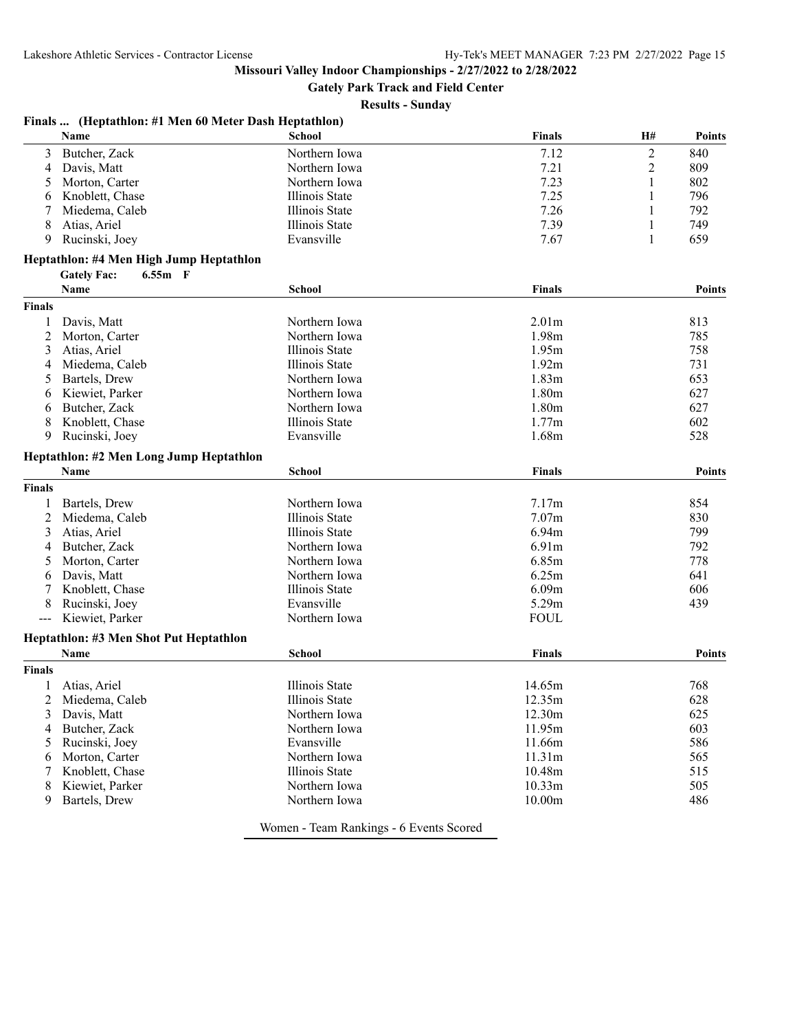**Gately Park Track and Field Center**

#### **Results - Sunday**

| Finals  (Heptathlon: #1 Men 60 Meter Dash Heptathlon) |  |  |  |  |  |  |
|-------------------------------------------------------|--|--|--|--|--|--|
|-------------------------------------------------------|--|--|--|--|--|--|

|                     | <b>Name</b>                             | School         | <b>Finals</b>     | H#             | <b>Points</b> |
|---------------------|-----------------------------------------|----------------|-------------------|----------------|---------------|
| 3                   | Butcher, Zack                           | Northern Iowa  | 7.12              | $\overline{2}$ | 840           |
| 4                   | Davis, Matt                             | Northern Iowa  | 7.21              | 2              | 809           |
| 5                   | Morton, Carter                          | Northern Iowa  | 7.23              | 1              | 802           |
| 6                   | Knoblett, Chase                         | Illinois State | 7.25              | 1              | 796           |
| 7                   | Miedema, Caleb                          | Illinois State | 7.26              | 1              | 792           |
| 8                   | Atias, Ariel                            | Illinois State | 7.39              | 1              | 749           |
| 9                   | Rucinski, Joey                          | Evansville     | 7.67              | 1              | 659           |
|                     | Heptathlon: #4 Men High Jump Heptathlon |                |                   |                |               |
|                     | <b>Gately Fac:</b><br>$6.55m$ F         |                |                   |                |               |
|                     | Name                                    | <b>School</b>  | <b>Finals</b>     |                | <b>Points</b> |
| <b>Finals</b>       |                                         |                |                   |                |               |
| 1                   | Davis, Matt                             | Northern Iowa  | 2.01 <sub>m</sub> |                | 813           |
| 2                   | Morton, Carter                          | Northern Iowa  | 1.98m             |                | 785           |
| 3                   | Atias, Ariel                            | Illinois State | 1.95m             |                | 758           |
| 4                   | Miedema, Caleb                          | Illinois State | 1.92m             |                | 731           |
| 5                   | Bartels, Drew                           | Northern Iowa  | 1.83m             |                | 653           |
|                     | Kiewiet, Parker                         | Northern Iowa  | 1.80 <sub>m</sub> |                | 627           |
| 6                   |                                         |                |                   |                |               |
| 6                   | Butcher, Zack                           | Northern Iowa  | 1.80 <sub>m</sub> |                | 627           |
| 8                   | Knoblett, Chase                         | Illinois State | 1.77m             |                | 602           |
| 9                   | Rucinski, Joey                          | Evansville     | 1.68m             |                | 528           |
|                     | Heptathlon: #2 Men Long Jump Heptathlon |                |                   |                |               |
|                     | Name                                    | <b>School</b>  | <b>Finals</b>     |                | Points        |
| <b>Finals</b>       |                                         |                |                   |                |               |
|                     | Bartels, Drew                           | Northern Iowa  | 7.17m             |                | 854           |
| 2                   | Miedema, Caleb                          | Illinois State | 7.07m             |                | 830           |
| 3                   | Atias, Ariel                            | Illinois State | 6.94m             |                | 799           |
| 4                   | Butcher, Zack                           | Northern Iowa  | 6.91m             |                | 792           |
| 5                   | Morton, Carter                          | Northern Iowa  | 6.85m             |                | 778           |
| 6                   | Davis, Matt                             | Northern Iowa  | 6.25m             |                | 641           |
|                     | Knoblett, Chase                         | Illinois State | 6.09m             |                | 606           |
| 8                   | Rucinski, Joey                          | Evansville     | 5.29m             |                | 439           |
| $\qquad \qquad - -$ | Kiewiet, Parker                         | Northern Iowa  | <b>FOUL</b>       |                |               |
|                     | Heptathlon: #3 Men Shot Put Heptathlon  |                |                   |                |               |
|                     | Name                                    | <b>School</b>  | <b>Finals</b>     |                | <b>Points</b> |
| <b>Finals</b>       |                                         |                |                   |                |               |
|                     | Atias, Ariel                            | Illinois State | 14.65m            |                | 768           |
|                     | Miedema, Caleb                          | Illinois State | 12.35m            |                | 628           |
| 3                   | Davis, Matt                             | Northern Iowa  | 12.30m            |                | 625           |
| 4                   | Butcher, Zack                           | Northern Iowa  | 11.95m            |                | 603           |
| 5                   | Rucinski, Joey                          | Evansville     | 11.66m            |                | 586           |
| 6                   | Morton, Carter                          | Northern Iowa  | 11.31m            |                | 565           |
| 7                   | Knoblett, Chase                         | Illinois State | 10.48m            |                | 515           |
| 8                   | Kiewiet, Parker                         | Northern Iowa  | 10.33m            |                | 505           |
| 9                   | Bartels, Drew                           | Northern Iowa  | 10.00m            |                | 486           |
|                     |                                         |                |                   |                |               |

Women - Team Rankings - 6 Events Scored